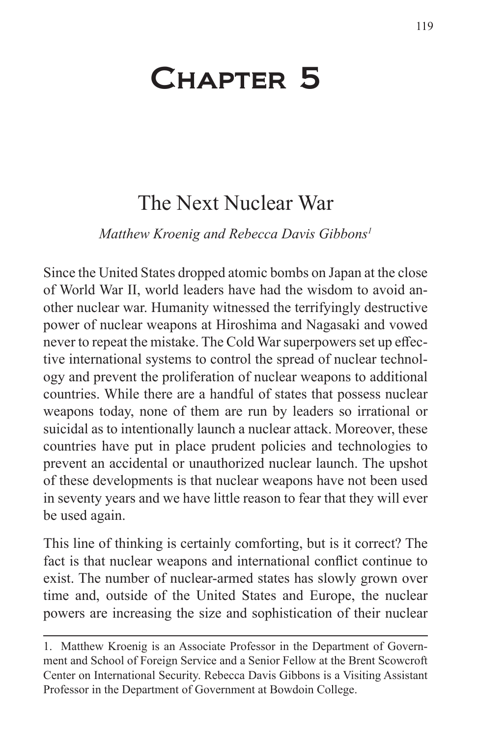# Chapter 5

# The Next Nuclear War

*Matthew Kroenig and Rebecca Davis Gibbons1*

Since the United States dropped atomic bombs on Japan at the close of World War II, world leaders have had the wisdom to avoid another nuclear war. Humanity witnessed the terrifyingly destructive power of nuclear weapons at Hiroshima and Nagasaki and vowed never to repeat the mistake. The Cold War superpowers set up effective international systems to control the spread of nuclear technology and prevent the proliferation of nuclear weapons to additional countries. While there are a handful of states that possess nuclear weapons today, none of them are run by leaders so irrational or suicidal as to intentionally launch a nuclear attack. Moreover, these countries have put in place prudent policies and technologies to prevent an accidental or unauthorized nuclear launch. The upshot of these developments is that nuclear weapons have not been used in seventy years and we have little reason to fear that they will ever be used again.

This line of thinking is certainly comforting, but is it correct? The fact is that nuclear weapons and international conflict continue to exist. The number of nuclear-armed states has slowly grown over time and, outside of the United States and Europe, the nuclear powers are increasing the size and sophistication of their nuclear

<sup>1.</sup> Matthew Kroenig is an Associate Professor in the Department of Government and School of Foreign Service and a Senior Fellow at the Brent Scowcroft Center on International Security. Rebecca Davis Gibbons is a Visiting Assistant Professor in the Department of Government at Bowdoin College.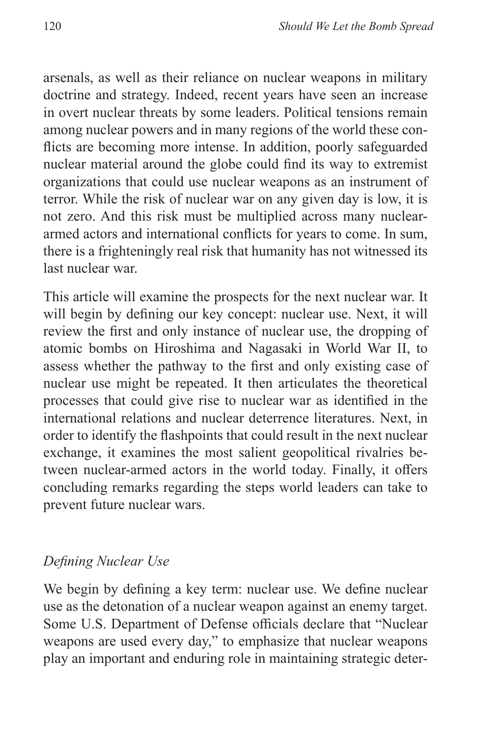arsenals, as well as their reliance on nuclear weapons in military doctrine and strategy. Indeed, recent years have seen an increase in overt nuclear threats by some leaders. Political tensions remain among nuclear powers and in many regions of the world these conflicts are becoming more intense. In addition, poorly safeguarded nuclear material around the globe could find its way to extremist organizations that could use nuclear weapons as an instrument of terror. While the risk of nuclear war on any given day is low, it is not zero. And this risk must be multiplied across many nucleararmed actors and international conflicts for years to come. In sum, there is a frighteningly real risk that humanity has not witnessed its last nuclear war.

This article will examine the prospects for the next nuclear war. It will begin by defining our key concept: nuclear use. Next, it will review the first and only instance of nuclear use, the dropping of atomic bombs on Hiroshima and Nagasaki in World War II, to assess whether the pathway to the first and only existing case of nuclear use might be repeated. It then articulates the theoretical processes that could give rise to nuclear war as identified in the international relations and nuclear deterrence literatures. Next, in order to identify the flashpoints that could result in the next nuclear exchange, it examines the most salient geopolitical rivalries between nuclear-armed actors in the world today. Finally, it offers concluding remarks regarding the steps world leaders can take to prevent future nuclear wars.

## *Defining Nuclear Use*

We begin by defining a key term: nuclear use. We define nuclear use as the detonation of a nuclear weapon against an enemy target. Some U.S. Department of Defense officials declare that "Nuclear weapons are used every day," to emphasize that nuclear weapons play an important and enduring role in maintaining strategic deter-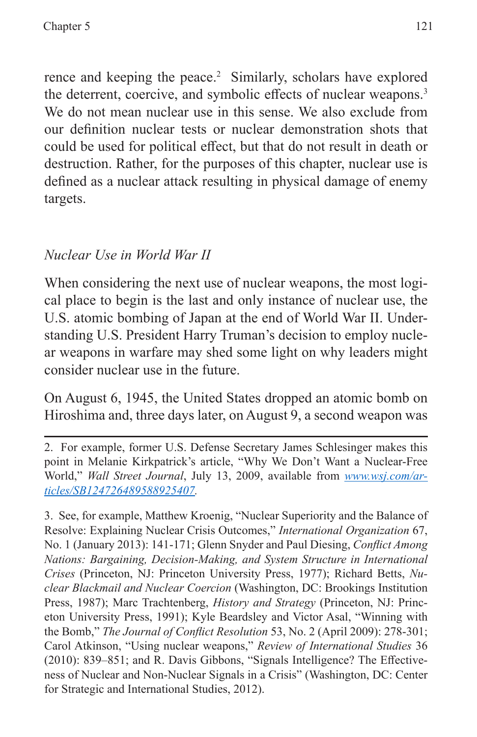rence and keeping the peace.<sup>2</sup> Similarly, scholars have explored the deterrent, coercive, and symbolic effects of nuclear weapons.<sup>3</sup> We do not mean nuclear use in this sense. We also exclude from our definition nuclear tests or nuclear demonstration shots that could be used for political effect, but that do not result in death or destruction. Rather, for the purposes of this chapter, nuclear use is defined as a nuclear attack resulting in physical damage of enemy targets.

# *Nuclear Use in World War II*

When considering the next use of nuclear weapons, the most logical place to begin is the last and only instance of nuclear use, the U.S. atomic bombing of Japan at the end of World War II. Understanding U.S. President Harry Truman's decision to employ nuclear weapons in warfare may shed some light on why leaders might consider nuclear use in the future.

On August 6, 1945, the United States dropped an atomic bomb on Hiroshima and, three days later, on August 9, a second weapon was

2. For example, former U.S. Defense Secretary James Schlesinger makes this point in Melanie Kirkpatrick's article, "Why We Don't Want a Nuclear-Free World," *Wall Street Journal*, July 13, 2009, available from *[www.wsj.com/ar](www.wsj.com/articles/SB124726489588925407)[ticles/SB124726489588925407.](www.wsj.com/articles/SB124726489588925407)*

3. See, for example, Matthew Kroenig, "Nuclear Superiority and the Balance of Resolve: Explaining Nuclear Crisis Outcomes," *International Organization* 67, No. 1 (January 2013): 141-171; Glenn Snyder and Paul Diesing, *Conflict Among Nations: Bargaining, Decision-Making, and System Structure in International Crises* (Princeton, NJ: Princeton University Press, 1977); Richard Betts, *Nuclear Blackmail and Nuclear Coercion* (Washington, DC: Brookings Institution Press, 1987); Marc Trachtenberg, *History and Strategy* (Princeton, NJ: Princeton University Press, 1991); Kyle Beardsley and Victor Asal, "Winning with the Bomb," *The Journal of Conflict Resolution* 53, No. 2 (April 2009): 278-301; Carol Atkinson, "Using nuclear weapons," *Review of International Studies* 36 (2010): 839–851; and R. Davis Gibbons, "Signals Intelligence? The Effectiveness of Nuclear and Non-Nuclear Signals in a Crisis" (Washington, DC: Center for Strategic and International Studies, 2012).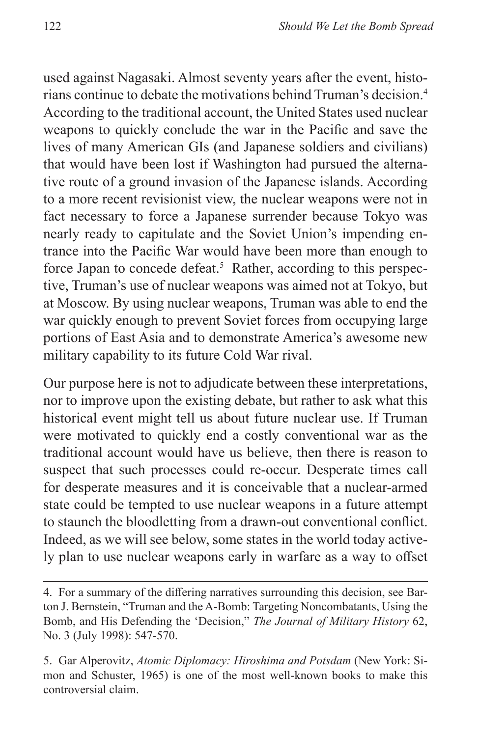used against Nagasaki. Almost seventy years after the event, historians continue to debate the motivations behind Truman's decision.4 According to the traditional account, the United States used nuclear weapons to quickly conclude the war in the Pacific and save the lives of many American GIs (and Japanese soldiers and civilians) that would have been lost if Washington had pursued the alternative route of a ground invasion of the Japanese islands. According to a more recent revisionist view, the nuclear weapons were not in fact necessary to force a Japanese surrender because Tokyo was nearly ready to capitulate and the Soviet Union's impending entrance into the Pacific War would have been more than enough to force Japan to concede defeat.<sup>5</sup> Rather, according to this perspective, Truman's use of nuclear weapons was aimed not at Tokyo, but at Moscow. By using nuclear weapons, Truman was able to end the war quickly enough to prevent Soviet forces from occupying large portions of East Asia and to demonstrate America's awesome new military capability to its future Cold War rival.

Our purpose here is not to adjudicate between these interpretations, nor to improve upon the existing debate, but rather to ask what this historical event might tell us about future nuclear use. If Truman were motivated to quickly end a costly conventional war as the traditional account would have us believe, then there is reason to suspect that such processes could re-occur. Desperate times call for desperate measures and it is conceivable that a nuclear-armed state could be tempted to use nuclear weapons in a future attempt to staunch the bloodletting from a drawn-out conventional conflict. Indeed, as we will see below, some states in the world today actively plan to use nuclear weapons early in warfare as a way to offset

<sup>4.</sup> For a summary of the differing narratives surrounding this decision, see Barton J. Bernstein, "Truman and the A-Bomb: Targeting Noncombatants, Using the Bomb, and His Defending the 'Decision," *The Journal of Military History* 62, No. 3 (July 1998): 547-570.

<sup>5.</sup> Gar Alperovitz, *Atomic Diplomacy: Hiroshima and Potsdam* (New York: Simon and Schuster, 1965) is one of the most well-known books to make this controversial claim.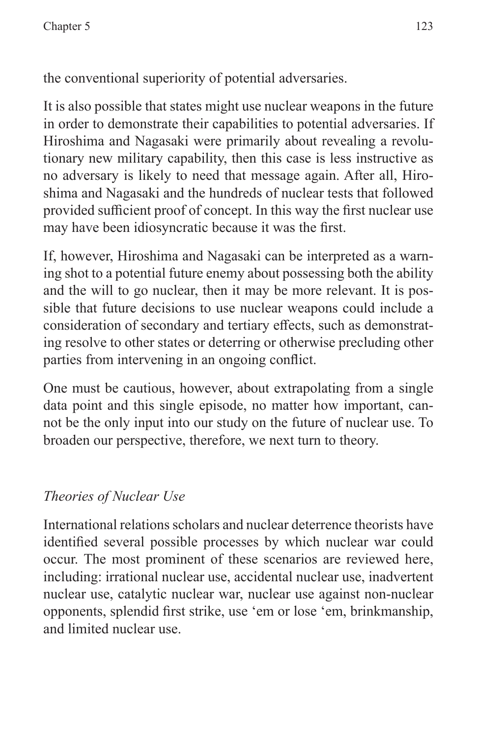the conventional superiority of potential adversaries.

It is also possible that states might use nuclear weapons in the future in order to demonstrate their capabilities to potential adversaries. If Hiroshima and Nagasaki were primarily about revealing a revolutionary new military capability, then this case is less instructive as no adversary is likely to need that message again. After all, Hiroshima and Nagasaki and the hundreds of nuclear tests that followed provided sufficient proof of concept. In this way the first nuclear use may have been idiosyncratic because it was the first.

If, however, Hiroshima and Nagasaki can be interpreted as a warning shot to a potential future enemy about possessing both the ability and the will to go nuclear, then it may be more relevant. It is possible that future decisions to use nuclear weapons could include a consideration of secondary and tertiary effects, such as demonstrating resolve to other states or deterring or otherwise precluding other parties from intervening in an ongoing conflict.

One must be cautious, however, about extrapolating from a single data point and this single episode, no matter how important, cannot be the only input into our study on the future of nuclear use. To broaden our perspective, therefore, we next turn to theory.

# *Theories of Nuclear Use*

International relations scholars and nuclear deterrence theorists have identified several possible processes by which nuclear war could occur. The most prominent of these scenarios are reviewed here, including: irrational nuclear use, accidental nuclear use, inadvertent nuclear use, catalytic nuclear war, nuclear use against non-nuclear opponents, splendid first strike, use 'em or lose 'em, brinkmanship, and limited nuclear use.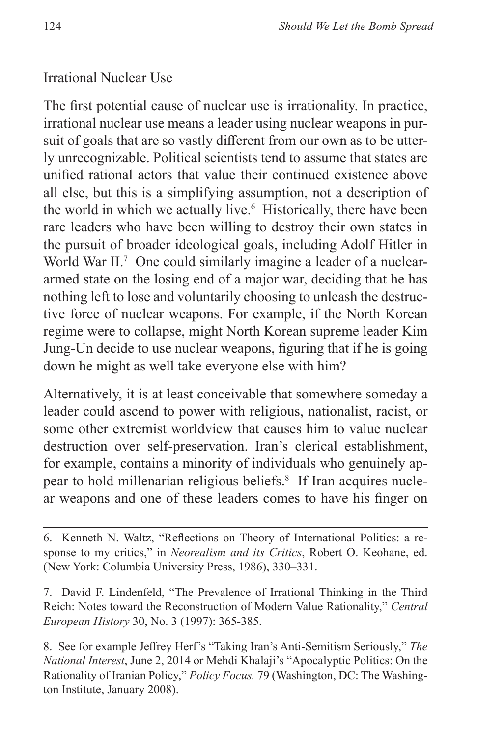#### Irrational Nuclear Use

The first potential cause of nuclear use is irrationality. In practice, irrational nuclear use means a leader using nuclear weapons in pursuit of goals that are so vastly different from our own as to be utterly unrecognizable. Political scientists tend to assume that states are unified rational actors that value their continued existence above all else, but this is a simplifying assumption, not a description of the world in which we actually live.<sup>6</sup> Historically, there have been rare leaders who have been willing to destroy their own states in the pursuit of broader ideological goals, including Adolf Hitler in World War II.<sup>7</sup> One could similarly imagine a leader of a nucleararmed state on the losing end of a major war, deciding that he has nothing left to lose and voluntarily choosing to unleash the destructive force of nuclear weapons. For example, if the North Korean regime were to collapse, might North Korean supreme leader Kim Jung-Un decide to use nuclear weapons, figuring that if he is going down he might as well take everyone else with him?

Alternatively, it is at least conceivable that somewhere someday a leader could ascend to power with religious, nationalist, racist, or some other extremist worldview that causes him to value nuclear destruction over self-preservation. Iran's clerical establishment, for example, contains a minority of individuals who genuinely appear to hold millenarian religious beliefs.<sup>8</sup> If Iran acquires nuclear weapons and one of these leaders comes to have his finger on

<sup>6.</sup> Kenneth N. Waltz, "Reflections on Theory of International Politics: a response to my critics," in *Neorealism and its Critics*, Robert O. Keohane, ed. (New York: Columbia University Press, 1986), 330–331.

<sup>7.</sup> David F. Lindenfeld, "The Prevalence of Irrational Thinking in the Third Reich: Notes toward the Reconstruction of Modern Value Rationality," *Central European History* 30, No. 3 (1997): 365-385.

<sup>8.</sup> See for example Jeffrey Herf's "Taking Iran's Anti-Semitism Seriously," *The National Interest*, June 2, 2014 or Mehdi Khalaji's "Apocalyptic Politics: On the Rationality of Iranian Policy," *Policy Focus,* 79 (Washington, DC: The Washington Institute, January 2008).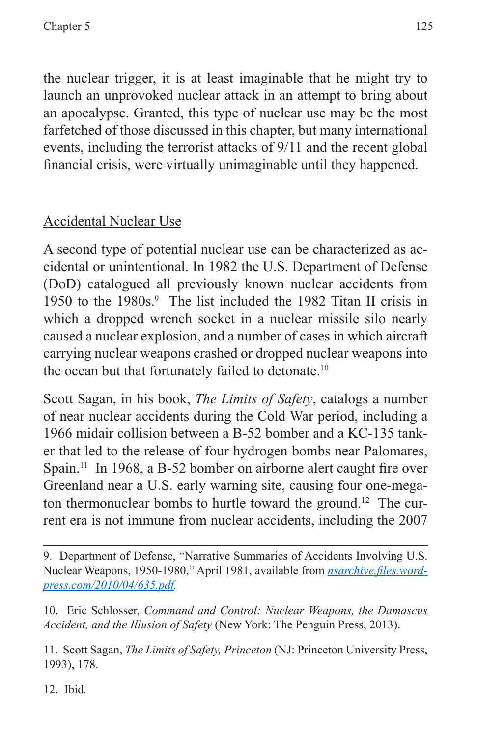the nuclear trigger, it is at least imaginable that he might try to launch an unprovoked nuclear attack in an attempt to bring about an apocalypse. Granted, this type of nuclear use may be the most farfetched of those discussed in this chapter, but many international events, including the terrorist attacks of 9/11 and the recent global financial crisis, were virtually unimaginable until they happened.

# Accidental Nuclear Use

A second type of potential nuclear use can be characterized as accidental or unintentional. In 1982 the U.S. Department of Defense (DoD) catalogued all previously known nuclear accidents from 1950 to the 1980s.<sup>9</sup> The list included the 1982 Titan II crisis in which a dropped wrench socket in a nuclear missile silo nearly caused a nuclear explosion, and a number of cases in which aircraft carrying nuclear weapons crashed or dropped nuclear weapons into the ocean but that fortunately failed to detonate.<sup>10</sup>

Scott Sagan, in his book, *The Limits of Safety*, catalogs a number of near nuclear accidents during the Cold War period, including a 1966 midair collision between a B-52 bomber and a KC-135 tanker that led to the release of four hydrogen bombs near Palomares, Spain.<sup>11</sup> In 1968, a B-52 bomber on airborne alert caught fire over Greenland near a U.S. early warning site, causing four one-megaton thermonuclear bombs to hurtle toward the ground.<sup>12</sup> The current era is not immune from nuclear accidents, including the 2007

10. Eric Schlosser, *Command and Control: Nuclear Weapons, the Damascus Accident, and the Illusion of Safety* (New York: The Penguin Press, 2013).

11. Scott Sagan, *The Limits of Safety, Princeton* (NJ: Princeton University Press, 1993), 178.

12. Ibid*.*

<sup>9.</sup> Department of Defense, "Narrative Summaries of Accidents Involving U.S. Nuclear Weapons, 1950-1980," April 1981, available from *[nsarchive.files.word](nsarchive.files.wordpress.com/2010/04/635.pdf)[press.com/2010/04/635.pdf.](nsarchive.files.wordpress.com/2010/04/635.pdf)*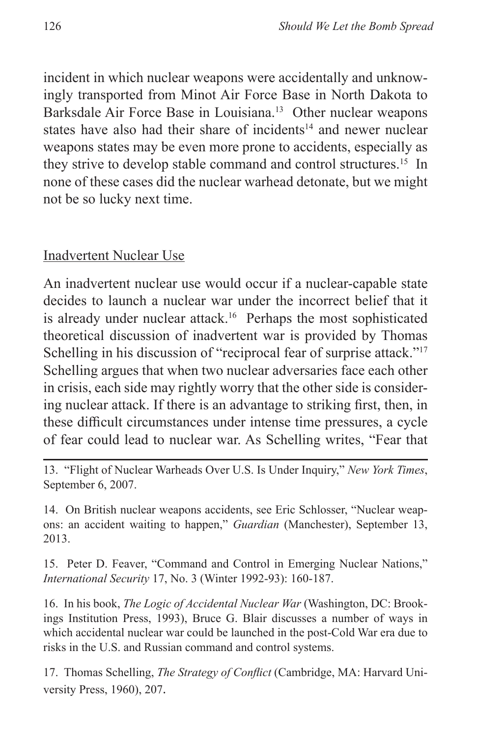incident in which nuclear weapons were accidentally and unknowingly transported from Minot Air Force Base in North Dakota to Barksdale Air Force Base in Louisiana.<sup>13</sup> Other nuclear weapons states have also had their share of incidents<sup>14</sup> and newer nuclear weapons states may be even more prone to accidents, especially as they strive to develop stable command and control structures.<sup>15</sup> In none of these cases did the nuclear warhead detonate, but we might not be so lucky next time.

#### Inadvertent Nuclear Use

An inadvertent nuclear use would occur if a nuclear-capable state decides to launch a nuclear war under the incorrect belief that it is already under nuclear attack.<sup>16</sup> Perhaps the most sophisticated theoretical discussion of inadvertent war is provided by Thomas Schelling in his discussion of "reciprocal fear of surprise attack."<sup>17</sup> Schelling argues that when two nuclear adversaries face each other in crisis, each side may rightly worry that the other side is considering nuclear attack. If there is an advantage to striking first, then, in these difficult circumstances under intense time pressures, a cycle of fear could lead to nuclear war. As Schelling writes, "Fear that

13. "Flight of Nuclear Warheads Over U.S. Is Under Inquiry," *New York Times*, September 6, 2007.

14. On British nuclear weapons accidents, see Eric Schlosser, "Nuclear weapons: an accident waiting to happen," *Guardian* (Manchester), September 13, 2013.

15. Peter D. Feaver, "Command and Control in Emerging Nuclear Nations," *International Security* 17, No. 3 (Winter 1992-93): 160-187.

16. In his book, *The Logic of Accidental Nuclear War* (Washington, DC: Brookings Institution Press, 1993), Bruce G. Blair discusses a number of ways in which accidental nuclear war could be launched in the post-Cold War era due to risks in the U.S. and Russian command and control systems.

17. Thomas Schelling, *The Strategy of Conflict* (Cambridge, MA: Harvard University Press, 1960), 207.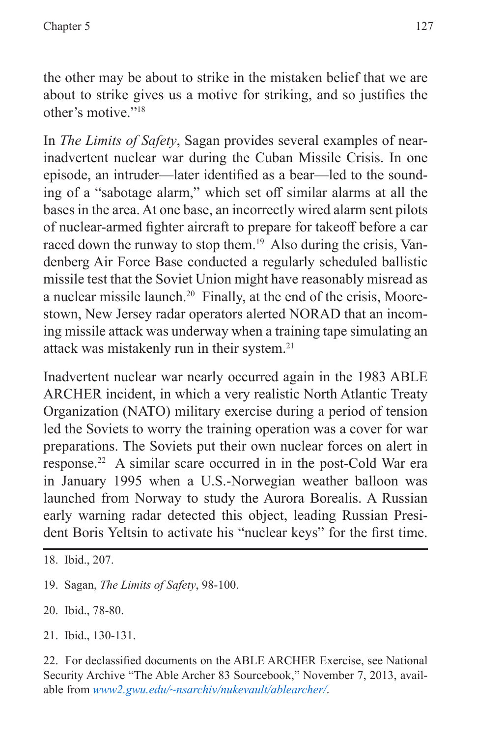the other may be about to strike in the mistaken belief that we are about to strike gives us a motive for striking, and so justifies the other's motive."18

In *The Limits of Safety*, Sagan provides several examples of nearinadvertent nuclear war during the Cuban Missile Crisis. In one episode, an intruder—later identified as a bear—led to the sounding of a "sabotage alarm," which set off similar alarms at all the bases in the area. At one base, an incorrectly wired alarm sent pilots of nuclear-armed fighter aircraft to prepare for takeoff before a car raced down the runway to stop them.<sup>19</sup> Also during the crisis, Vandenberg Air Force Base conducted a regularly scheduled ballistic missile test that the Soviet Union might have reasonably misread as a nuclear missile launch.<sup>20</sup> Finally, at the end of the crisis, Moorestown, New Jersey radar operators alerted NORAD that an incoming missile attack was underway when a training tape simulating an attack was mistakenly run in their system.<sup>21</sup>

Inadvertent nuclear war nearly occurred again in the 1983 ABLE ARCHER incident, in which a very realistic North Atlantic Treaty Organization (NATO) military exercise during a period of tension led the Soviets to worry the training operation was a cover for war preparations. The Soviets put their own nuclear forces on alert in response.22 A similar scare occurred in in the post-Cold War era in January 1995 when a U.S.-Norwegian weather balloon was launched from Norway to study the Aurora Borealis. A Russian early warning radar detected this object, leading Russian President Boris Yeltsin to activate his "nuclear keys" for the first time.

- 19. Sagan, *The Limits of Safety*, 98-100.
- 20. Ibid., 78-80.
- 21. Ibid., 130-131.

<sup>18.</sup> Ibid., 207.

<sup>22.</sup> For declassified documents on the ABLE ARCHER Exercise, see National Security Archive "The Able Archer 83 Sourcebook," November 7, 2013, available from *<www2.gwu.edu/~nsarchiv/nukevault/ablearcher/>*.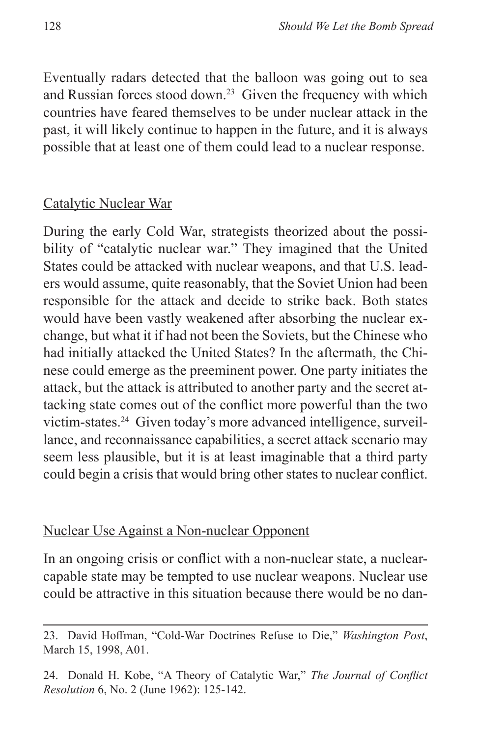Eventually radars detected that the balloon was going out to sea and Russian forces stood down.<sup>23</sup> Given the frequency with which countries have feared themselves to be under nuclear attack in the past, it will likely continue to happen in the future, and it is always possible that at least one of them could lead to a nuclear response.

#### Catalytic Nuclear War

During the early Cold War, strategists theorized about the possibility of "catalytic nuclear war." They imagined that the United States could be attacked with nuclear weapons, and that U.S. leaders would assume, quite reasonably, that the Soviet Union had been responsible for the attack and decide to strike back. Both states would have been vastly weakened after absorbing the nuclear exchange, but what it if had not been the Soviets, but the Chinese who had initially attacked the United States? In the aftermath, the Chinese could emerge as the preeminent power. One party initiates the attack, but the attack is attributed to another party and the secret attacking state comes out of the conflict more powerful than the two victim-states.24 Given today's more advanced intelligence, surveillance, and reconnaissance capabilities, a secret attack scenario may seem less plausible, but it is at least imaginable that a third party could begin a crisis that would bring other states to nuclear conflict.

## Nuclear Use Against a Non-nuclear Opponent

In an ongoing crisis or conflict with a non-nuclear state, a nuclearcapable state may be tempted to use nuclear weapons. Nuclear use could be attractive in this situation because there would be no dan-

24. Donald H. Kobe, "A Theory of Catalytic War," *The Journal of Conflict Resolution* 6, No. 2 (June 1962): 125-142.

<sup>23.</sup> David Hoffman, "Cold-War Doctrines Refuse to Die," *Washington Post*, March 15, 1998, A01.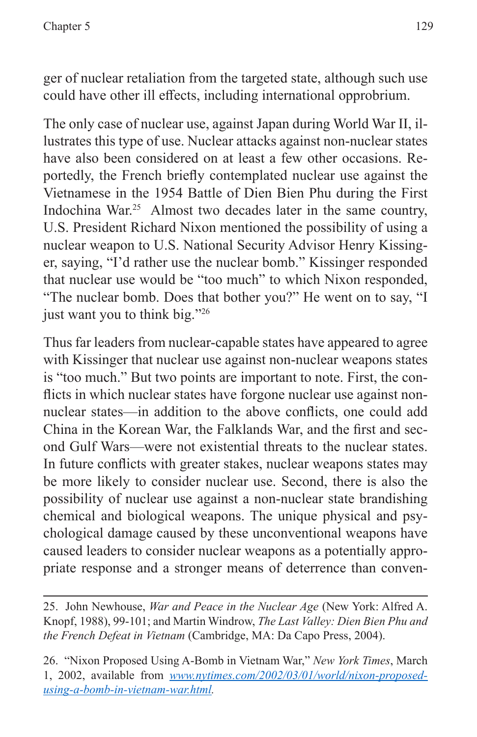ger of nuclear retaliation from the targeted state, although such use could have other ill effects, including international opprobrium.

The only case of nuclear use, against Japan during World War II, illustrates this type of use. Nuclear attacks against non-nuclear states have also been considered on at least a few other occasions. Reportedly, the French briefly contemplated nuclear use against the Vietnamese in the 1954 Battle of Dien Bien Phu during the First Indochina War.<sup>25</sup> Almost two decades later in the same country, U.S. President Richard Nixon mentioned the possibility of using a nuclear weapon to U.S. National Security Advisor Henry Kissinger, saying, "I'd rather use the nuclear bomb." Kissinger responded that nuclear use would be "too much" to which Nixon responded, "The nuclear bomb. Does that bother you?" He went on to say, "I just want you to think big."26

Thus far leaders from nuclear-capable states have appeared to agree with Kissinger that nuclear use against non-nuclear weapons states is "too much." But two points are important to note. First, the conflicts in which nuclear states have forgone nuclear use against nonnuclear states—in addition to the above conflicts, one could add China in the Korean War, the Falklands War, and the first and second Gulf Wars—were not existential threats to the nuclear states. In future conflicts with greater stakes, nuclear weapons states may be more likely to consider nuclear use. Second, there is also the possibility of nuclear use against a non-nuclear state brandishing chemical and biological weapons. The unique physical and psychological damage caused by these unconventional weapons have caused leaders to consider nuclear weapons as a potentially appropriate response and a stronger means of deterrence than conven-

<sup>25.</sup> John Newhouse, *War and Peace in the Nuclear Age* (New York: Alfred A. Knopf, 1988), 99-101; and Martin Windrow, *The Last Valley: Dien Bien Phu and the French Defeat in Vietnam* (Cambridge, MA: Da Capo Press, 2004).

<sup>26. &</sup>quot;Nixon Proposed Using A-Bomb in Vietnam War," *New York Times*, March 1, 2002, available from *[www.nytimes.com/2002/03/01/world/nixon-proposed](www.nytimes.com/2002/03/01/world/nixon-proposed-using-a-bomb-in-vietnam-war.html)[using-a-bomb-in-vietnam-war.html.](www.nytimes.com/2002/03/01/world/nixon-proposed-using-a-bomb-in-vietnam-war.html)*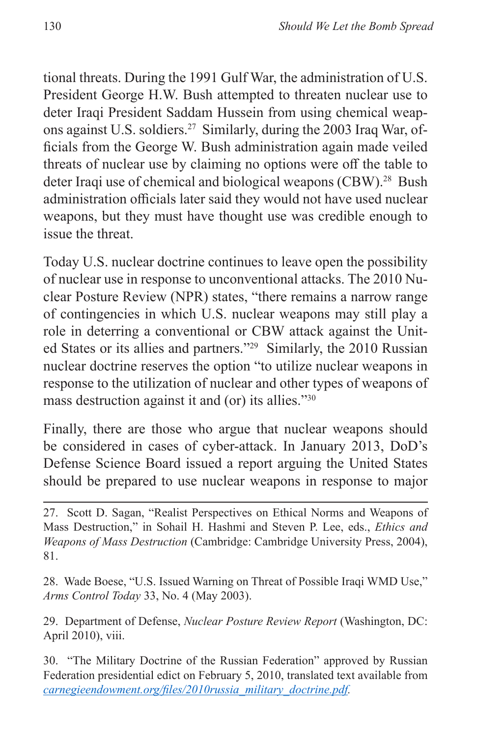tional threats. During the 1991 Gulf War, the administration of U.S. President George H.W. Bush attempted to threaten nuclear use to deter Iraqi President Saddam Hussein from using chemical weapons against U.S. soldiers.27 Similarly, during the 2003 Iraq War, officials from the George W. Bush administration again made veiled threats of nuclear use by claiming no options were off the table to deter Iraqi use of chemical and biological weapons (CBW).<sup>28</sup> Bush administration officials later said they would not have used nuclear weapons, but they must have thought use was credible enough to issue the threat.

Today U.S. nuclear doctrine continues to leave open the possibility of nuclear use in response to unconventional attacks. The 2010 Nuclear Posture Review (NPR) states, "there remains a narrow range of contingencies in which U.S. nuclear weapons may still play a role in deterring a conventional or CBW attack against the United States or its allies and partners."29 Similarly, the 2010 Russian nuclear doctrine reserves the option "to utilize nuclear weapons in response to the utilization of nuclear and other types of weapons of mass destruction against it and (or) its allies."30

Finally, there are those who argue that nuclear weapons should be considered in cases of cyber-attack. In January 2013, DoD's Defense Science Board issued a report arguing the United States should be prepared to use nuclear weapons in response to major

29. Department of Defense, *Nuclear Posture Review Report* (Washington, DC: April 2010), viii.

30. "The Military Doctrine of the Russian Federation" approved by Russian Federation presidential edict on February 5, 2010, translated text available from *[carnegieendowment.org/files/2010russia\\_military\\_doctrine.pdf](carnegieendowment.org/files/2010russia_military_doctrine.pdf).*

<sup>27.</sup> Scott D. Sagan, "Realist Perspectives on Ethical Norms and Weapons of Mass Destruction," in Sohail H. Hashmi and Steven P. Lee, eds., *Ethics and Weapons of Mass Destruction* (Cambridge: Cambridge University Press, 2004), 81.

<sup>28.</sup> Wade Boese, "U.S. Issued Warning on Threat of Possible Iraqi WMD Use," *Arms Control Today* 33, No. 4 (May 2003).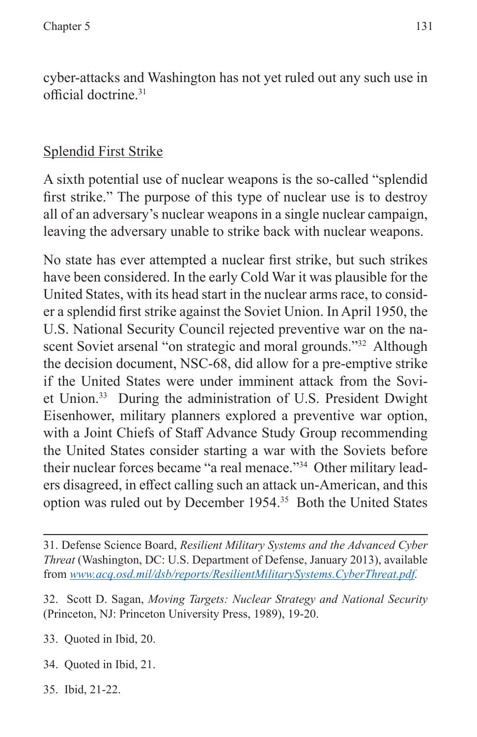cyber-attacks and Washington has not yet ruled out any such use in official doctrine.31

# Splendid First Strike

A sixth potential use of nuclear weapons is the so-called "splendid first strike." The purpose of this type of nuclear use is to destroy all of an adversary's nuclear weapons in a single nuclear campaign, leaving the adversary unable to strike back with nuclear weapons.

No state has ever attempted a nuclear first strike, but such strikes have been considered. In the early Cold War it was plausible for the United States, with its head start in the nuclear arms race, to consider a splendid first strike against the Soviet Union. In April 1950, the U.S. National Security Council rejected preventive war on the nascent Soviet arsenal "on strategic and moral grounds."<sup>32</sup> Although the decision document, NSC-68, did allow for a pre-emptive strike if the United States were under imminent attack from the Soviet Union.33 During the administration of U.S. President Dwight Eisenhower, military planners explored a preventive war option, with a Joint Chiefs of Staff Advance Study Group recommending the United States consider starting a war with the Soviets before their nuclear forces became "a real menace."34 Other military leaders disagreed, in effect calling such an attack un-American, and this option was ruled out by December 1954.35 Both the United States

33. Quoted in Ibid, 20.

- 34. Quoted in Ibid, 21.
- 35. Ibid, 21-22.

<sup>31.</sup> Defense Science Board, *Resilient Military Systems and the Advanced Cyber Threat* (Washington, DC: U.S. Department of Defense, January 2013), available from *[www.acq.osd.mil/dsb/reports/ResilientMilitarySystems.CyberThreat.pdf.](www.acq.osd.mil/dsb/reports/ResilientMilitarySystems.CyberThreat.pdf)*

<sup>32.</sup> Scott D. Sagan, *Moving Targets: Nuclear Strategy and National Security* (Princeton, NJ: Princeton University Press, 1989), 19-20.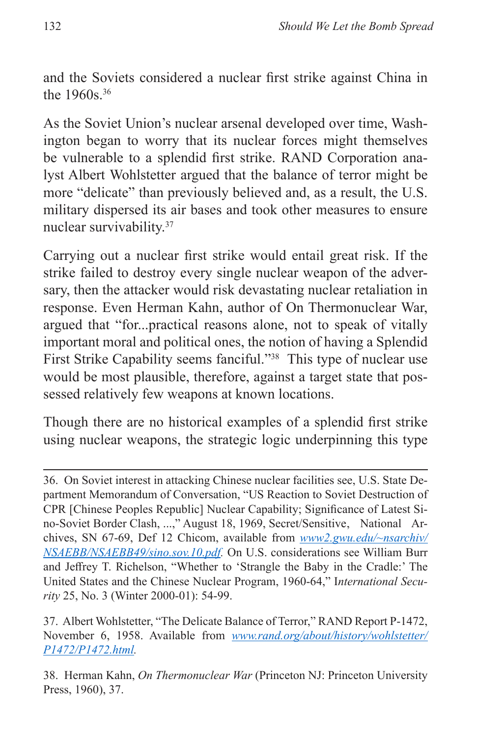and the Soviets considered a nuclear first strike against China in the 1960s.36

As the Soviet Union's nuclear arsenal developed over time, Washington began to worry that its nuclear forces might themselves be vulnerable to a splendid first strike. RAND Corporation analyst Albert Wohlstetter argued that the balance of terror might be more "delicate" than previously believed and, as a result, the U.S. military dispersed its air bases and took other measures to ensure nuclear survivability.37

Carrying out a nuclear first strike would entail great risk. If the strike failed to destroy every single nuclear weapon of the adversary, then the attacker would risk devastating nuclear retaliation in response. Even Herman Kahn, author of On Thermonuclear War, argued that "for...practical reasons alone, not to speak of vitally important moral and political ones, the notion of having a Splendid First Strike Capability seems fanciful."38 This type of nuclear use would be most plausible, therefore, against a target state that possessed relatively few weapons at known locations.

Though there are no historical examples of a splendid first strike using nuclear weapons, the strategic logic underpinning this type

<sup>36.</sup> On Soviet interest in attacking Chinese nuclear facilities see, U.S. State Department Memorandum of Conversation, "US Reaction to Soviet Destruction of CPR [Chinese Peoples Republic] Nuclear Capability; Significance of Latest Sino-Soviet Border Clash, ...," August 18, 1969, Secret/Sensitive, National Archives, SN 67-69, Def 12 Chicom, available from *[www2.gwu.edu/~nsarchiv/](www2.gwu.edu/~nsarchiv/NSAEBB/NSAEBB49/sino.sov.10.pdf) [NSAEBB/NSAEBB49/sino.sov.10.pdf](www2.gwu.edu/~nsarchiv/NSAEBB/NSAEBB49/sino.sov.10.pdf).* On U.S. considerations see William Burr and Jeffrey T. Richelson, "Whether to 'Strangle the Baby in the Cradle:' The United States and the Chinese Nuclear Program, 1960-64," I*nternational Security* 25, No. 3 (Winter 2000-01): 54-99.

<sup>37.</sup> Albert Wohlstetter, "The Delicate Balance of Terror," RAND Report P-1472, November 6, 1958. Available from *[www.rand.org/about/history/wohlstetter/](www.rand.org/about/history/wohlstetter/P1472/P1472.html) [P1472/P1472.html](www.rand.org/about/history/wohlstetter/P1472/P1472.html).*

<sup>38.</sup> Herman Kahn, *On Thermonuclear War* (Princeton NJ: Princeton University Press, 1960), 37.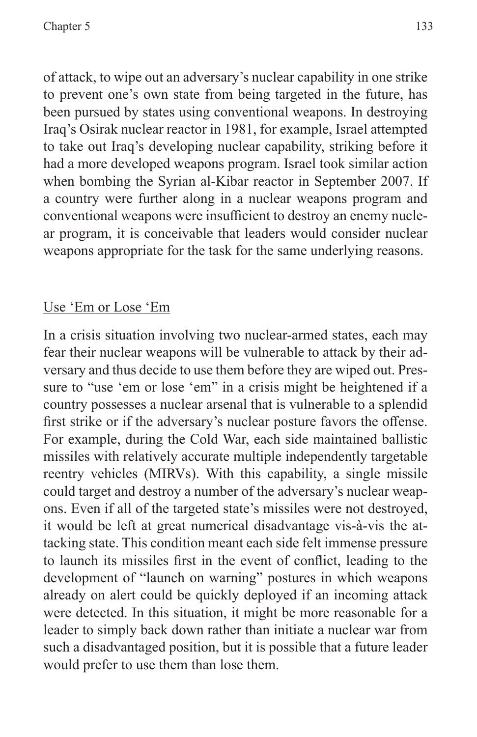of attack, to wipe out an adversary's nuclear capability in one strike to prevent one's own state from being targeted in the future, has been pursued by states using conventional weapons. In destroying Iraq's Osirak nuclear reactor in 1981, for example, Israel attempted to take out Iraq's developing nuclear capability, striking before it had a more developed weapons program. Israel took similar action when bombing the Syrian al-Kibar reactor in September 2007. If a country were further along in a nuclear weapons program and conventional weapons were insufficient to destroy an enemy nuclear program, it is conceivable that leaders would consider nuclear weapons appropriate for the task for the same underlying reasons.

## Use 'Em or Lose 'Em

In a crisis situation involving two nuclear-armed states, each may fear their nuclear weapons will be vulnerable to attack by their adversary and thus decide to use them before they are wiped out. Pressure to "use 'em or lose 'em" in a crisis might be heightened if a country possesses a nuclear arsenal that is vulnerable to a splendid first strike or if the adversary's nuclear posture favors the offense. For example, during the Cold War, each side maintained ballistic missiles with relatively accurate multiple independently targetable reentry vehicles (MIRVs). With this capability, a single missile could target and destroy a number of the adversary's nuclear weapons. Even if all of the targeted state's missiles were not destroyed, it would be left at great numerical disadvantage vis-à-vis the attacking state. This condition meant each side felt immense pressure to launch its missiles first in the event of conflict, leading to the development of "launch on warning" postures in which weapons already on alert could be quickly deployed if an incoming attack were detected. In this situation, it might be more reasonable for a leader to simply back down rather than initiate a nuclear war from such a disadvantaged position, but it is possible that a future leader would prefer to use them than lose them.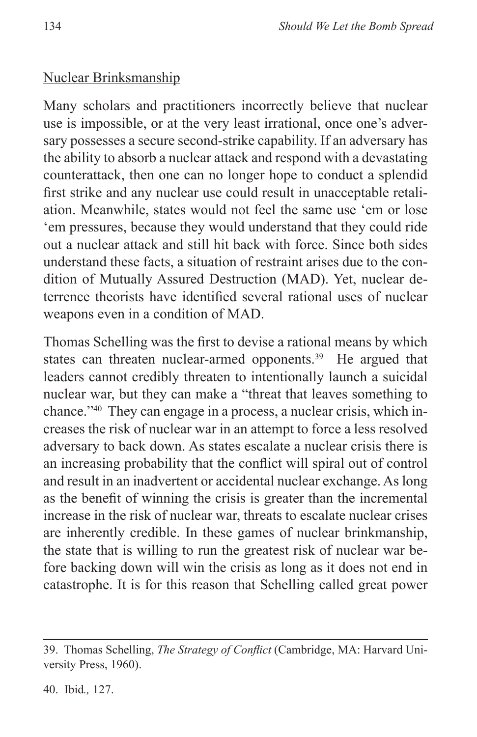#### Nuclear Brinksmanship

Many scholars and practitioners incorrectly believe that nuclear use is impossible, or at the very least irrational, once one's adversary possesses a secure second-strike capability. If an adversary has the ability to absorb a nuclear attack and respond with a devastating counterattack, then one can no longer hope to conduct a splendid first strike and any nuclear use could result in unacceptable retaliation. Meanwhile, states would not feel the same use 'em or lose 'em pressures, because they would understand that they could ride out a nuclear attack and still hit back with force. Since both sides understand these facts, a situation of restraint arises due to the condition of Mutually Assured Destruction (MAD). Yet, nuclear deterrence theorists have identified several rational uses of nuclear weapons even in a condition of MAD.

Thomas Schelling was the first to devise a rational means by which states can threaten nuclear-armed opponents.<sup>39</sup> He argued that leaders cannot credibly threaten to intentionally launch a suicidal nuclear war, but they can make a "threat that leaves something to chance."40 They can engage in a process, a nuclear crisis, which increases the risk of nuclear war in an attempt to force a less resolved adversary to back down. As states escalate a nuclear crisis there is an increasing probability that the conflict will spiral out of control and result in an inadvertent or accidental nuclear exchange. As long as the benefit of winning the crisis is greater than the incremental increase in the risk of nuclear war, threats to escalate nuclear crises are inherently credible. In these games of nuclear brinkmanship, the state that is willing to run the greatest risk of nuclear war before backing down will win the crisis as long as it does not end in catastrophe. It is for this reason that Schelling called great power

<sup>39.</sup> Thomas Schelling, *The Strategy of Conflict* (Cambridge, MA: Harvard University Press, 1960).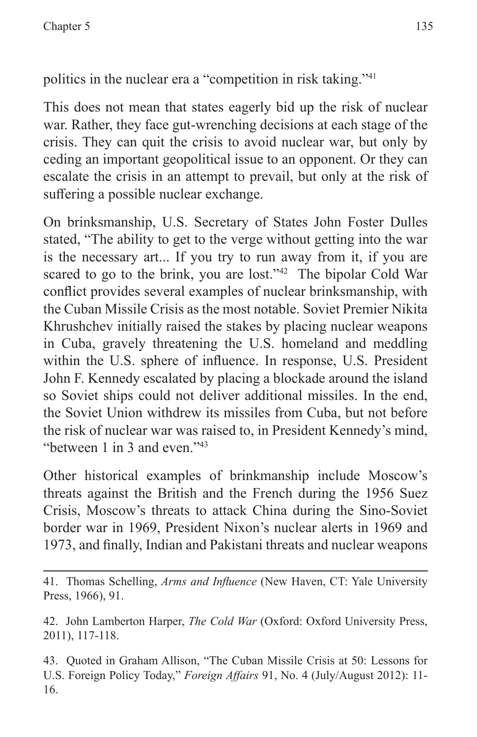politics in the nuclear era a "competition in risk taking."41

This does not mean that states eagerly bid up the risk of nuclear war. Rather, they face gut-wrenching decisions at each stage of the crisis. They can quit the crisis to avoid nuclear war, but only by ceding an important geopolitical issue to an opponent. Or they can escalate the crisis in an attempt to prevail, but only at the risk of suffering a possible nuclear exchange.

On brinksmanship, U.S. Secretary of States John Foster Dulles stated, "The ability to get to the verge without getting into the war is the necessary art... If you try to run away from it, if you are scared to go to the brink, you are lost."42 The bipolar Cold War conflict provides several examples of nuclear brinksmanship, with the Cuban Missile Crisis as the most notable. Soviet Premier Nikita Khrushchev initially raised the stakes by placing nuclear weapons in Cuba, gravely threatening the U.S. homeland and meddling within the U.S. sphere of influence. In response, U.S. President John F. Kennedy escalated by placing a blockade around the island so Soviet ships could not deliver additional missiles. In the end, the Soviet Union withdrew its missiles from Cuba, but not before the risk of nuclear war was raised to, in President Kennedy's mind, "between 1 in 3 and even."43

Other historical examples of brinkmanship include Moscow's threats against the British and the French during the 1956 Suez Crisis, Moscow's threats to attack China during the Sino-Soviet border war in 1969, President Nixon's nuclear alerts in 1969 and 1973, and finally, Indian and Pakistani threats and nuclear weapons

41. Thomas Schelling, *Arms and Influence* (New Haven, CT: Yale University Press, 1966), 91.

42. John Lamberton Harper, *The Cold War* (Oxford: Oxford University Press, 2011), 117-118.

43. Quoted in Graham Allison, "The Cuban Missile Crisis at 50: Lessons for U.S. Foreign Policy Today," *Foreign Affairs* 91, No. 4 (July/August 2012): 11- 16.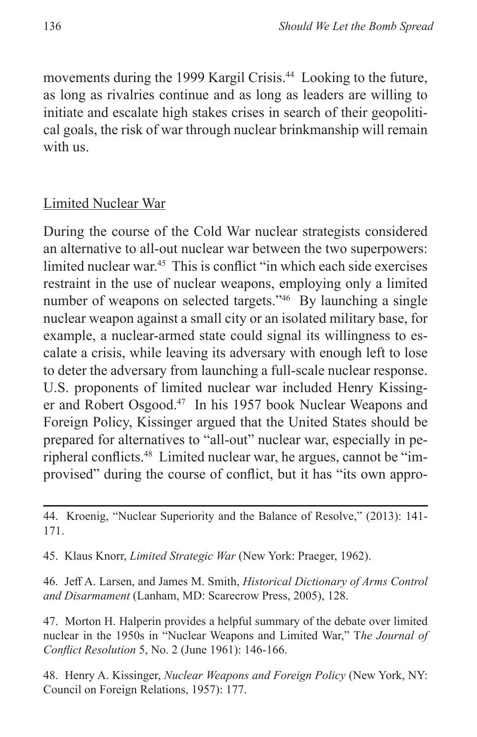movements during the 1999 Kargil Crisis.<sup>44</sup> Looking to the future, as long as rivalries continue and as long as leaders are willing to initiate and escalate high stakes crises in search of their geopolitical goals, the risk of war through nuclear brinkmanship will remain with us.

#### Limited Nuclear War

During the course of the Cold War nuclear strategists considered an alternative to all-out nuclear war between the two superpowers: limited nuclear war.<sup>45</sup> This is conflict "in which each side exercises" restraint in the use of nuclear weapons, employing only a limited number of weapons on selected targets."<sup>46</sup> By launching a single nuclear weapon against a small city or an isolated military base, for example, a nuclear-armed state could signal its willingness to escalate a crisis, while leaving its adversary with enough left to lose to deter the adversary from launching a full-scale nuclear response. U.S. proponents of limited nuclear war included Henry Kissinger and Robert Osgood.<sup>47</sup> In his 1957 book Nuclear Weapons and Foreign Policy, Kissinger argued that the United States should be prepared for alternatives to "all-out" nuclear war, especially in peripheral conflicts.48 Limited nuclear war, he argues, cannot be "improvised" during the course of conflict, but it has "its own appro-

45. Klaus Knorr, *Limited Strategic War* (New York: Praeger, 1962).

46. Jeff A. Larsen, and James M. Smith, *Historical Dictionary of Arms Control and Disarmament* (Lanham, MD: Scarecrow Press, 2005), 128.

47. Morton H. Halperin provides a helpful summary of the debate over limited nuclear in the 1950s in "Nuclear Weapons and Limited War," T*he Journal of Conflict Resolution* 5, No. 2 (June 1961): 146-166.

48. Henry A. Kissinger, *Nuclear Weapons and Foreign Policy* (New York, NY: Council on Foreign Relations, 1957): 177.

<sup>44.</sup> Kroenig, "Nuclear Superiority and the Balance of Resolve," (2013): 141- 171.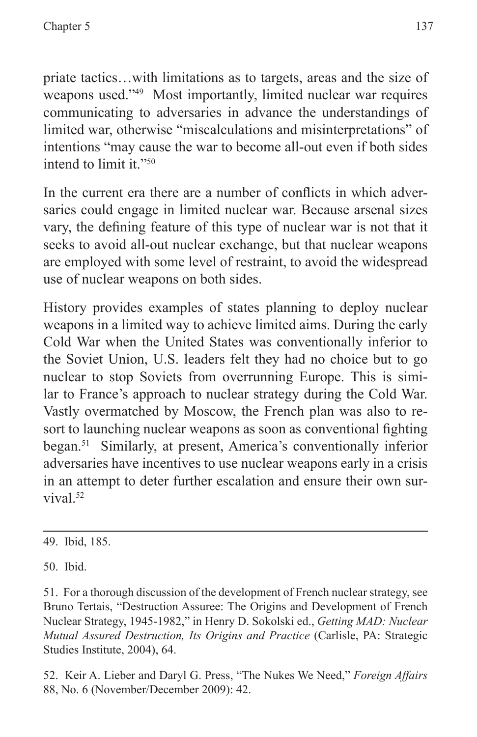priate tactics…with limitations as to targets, areas and the size of weapons used."49 Most importantly, limited nuclear war requires communicating to adversaries in advance the understandings of limited war, otherwise "miscalculations and misinterpretations" of intentions "may cause the war to become all-out even if both sides intend to limit it."<sup>50</sup>

In the current era there are a number of conflicts in which adversaries could engage in limited nuclear war. Because arsenal sizes vary, the defining feature of this type of nuclear war is not that it seeks to avoid all-out nuclear exchange, but that nuclear weapons are employed with some level of restraint, to avoid the widespread use of nuclear weapons on both sides.

History provides examples of states planning to deploy nuclear weapons in a limited way to achieve limited aims. During the early Cold War when the United States was conventionally inferior to the Soviet Union, U.S. leaders felt they had no choice but to go nuclear to stop Soviets from overrunning Europe. This is similar to France's approach to nuclear strategy during the Cold War. Vastly overmatched by Moscow, the French plan was also to resort to launching nuclear weapons as soon as conventional fighting began.51 Similarly, at present, America's conventionally inferior adversaries have incentives to use nuclear weapons early in a crisis in an attempt to deter further escalation and ensure their own survival.<sup>52</sup>

49. Ibid, 185.

50. Ibid.

51. For a thorough discussion of the development of French nuclear strategy, see Bruno Tertais, "Destruction Assuree: The Origins and Development of French Nuclear Strategy, 1945-1982," in Henry D. Sokolski ed., *Getting MAD: Nuclear Mutual Assured Destruction, Its Origins and Practice* (Carlisle, PA: Strategic Studies Institute, 2004), 64.

52. Keir A. Lieber and Daryl G. Press, "The Nukes We Need," *Foreign Affairs* 88, No. 6 (November/December 2009): 42.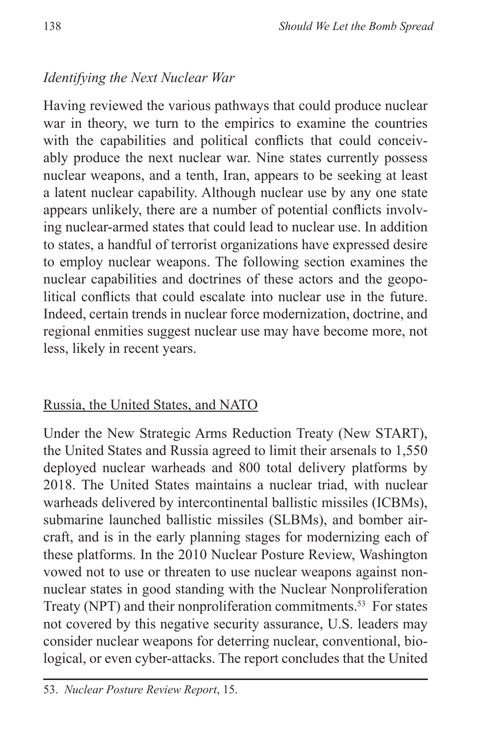# *Identifying the Next Nuclear War*

Having reviewed the various pathways that could produce nuclear war in theory, we turn to the empirics to examine the countries with the capabilities and political conflicts that could conceivably produce the next nuclear war. Nine states currently possess nuclear weapons, and a tenth, Iran, appears to be seeking at least a latent nuclear capability. Although nuclear use by any one state appears unlikely, there are a number of potential conflicts involving nuclear-armed states that could lead to nuclear use. In addition to states, a handful of terrorist organizations have expressed desire to employ nuclear weapons. The following section examines the nuclear capabilities and doctrines of these actors and the geopolitical conflicts that could escalate into nuclear use in the future. Indeed, certain trends in nuclear force modernization, doctrine, and regional enmities suggest nuclear use may have become more, not less, likely in recent years.

## Russia, the United States, and NATO

Under the New Strategic Arms Reduction Treaty (New START), the United States and Russia agreed to limit their arsenals to 1,550 deployed nuclear warheads and 800 total delivery platforms by 2018. The United States maintains a nuclear triad, with nuclear warheads delivered by intercontinental ballistic missiles (ICBMs), submarine launched ballistic missiles (SLBMs), and bomber aircraft, and is in the early planning stages for modernizing each of these platforms. In the 2010 Nuclear Posture Review, Washington vowed not to use or threaten to use nuclear weapons against nonnuclear states in good standing with the Nuclear Nonproliferation Treaty (NPT) and their nonproliferation commitments.<sup>53</sup> For states not covered by this negative security assurance, U.S. leaders may consider nuclear weapons for deterring nuclear, conventional, biological, or even cyber-attacks. The report concludes that the United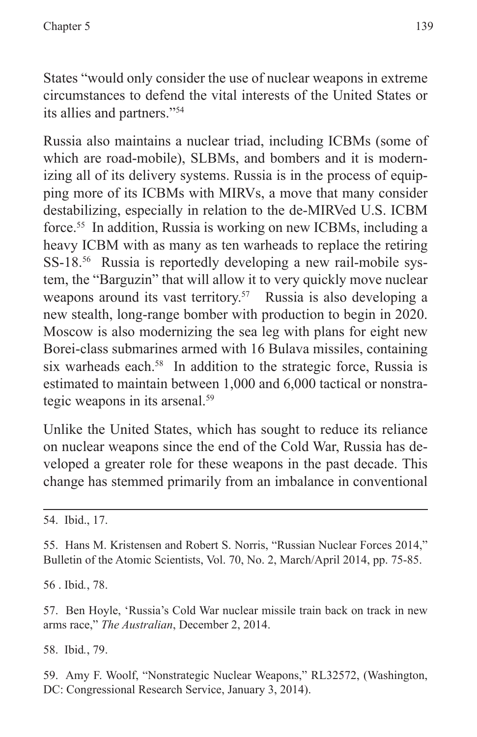States "would only consider the use of nuclear weapons in extreme circumstances to defend the vital interests of the United States or its allies and partners."54

Russia also maintains a nuclear triad, including ICBMs (some of which are road-mobile), SLBMs, and bombers and it is modernizing all of its delivery systems. Russia is in the process of equipping more of its ICBMs with MIRVs, a move that many consider destabilizing, especially in relation to the de-MIRVed U.S. ICBM force.55 In addition, Russia is working on new ICBMs, including a heavy ICBM with as many as ten warheads to replace the retiring SS-18.<sup>56</sup> Russia is reportedly developing a new rail-mobile system, the "Barguzin" that will allow it to very quickly move nuclear weapons around its vast territory.<sup>57</sup> Russia is also developing a new stealth, long-range bomber with production to begin in 2020. Moscow is also modernizing the sea leg with plans for eight new Borei-class submarines armed with 16 Bulava missiles, containing six warheads each.<sup>58</sup> In addition to the strategic force, Russia is estimated to maintain between 1,000 and 6,000 tactical or nonstrategic weapons in its arsenal.59

Unlike the United States, which has sought to reduce its reliance on nuclear weapons since the end of the Cold War, Russia has developed a greater role for these weapons in the past decade. This change has stemmed primarily from an imbalance in conventional

56 . Ibid*.*, 78.

57. Ben Hoyle, 'Russia's Cold War nuclear missile train back on track in new arms race," *The Australian*, December 2, 2014.

58. Ibid*.*, 79.

59. Amy F. Woolf, "Nonstrategic Nuclear Weapons," RL32572, (Washington, DC: Congressional Research Service, January 3, 2014).

<sup>54.</sup> Ibid., 17.

<sup>55.</sup> Hans M. Kristensen and Robert S. Norris, "Russian Nuclear Forces 2014," Bulletin of the Atomic Scientists, Vol. 70, No. 2, March/April 2014, pp. 75-85.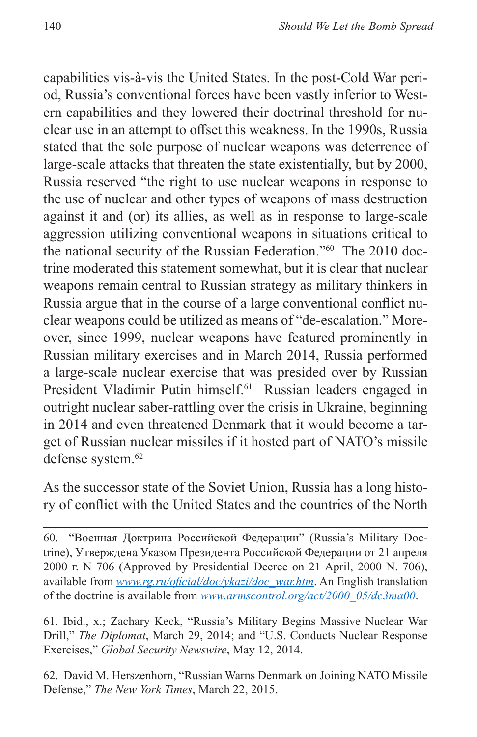capabilities vis-à-vis the United States. In the post-Cold War period, Russia's conventional forces have been vastly inferior to Western capabilities and they lowered their doctrinal threshold for nuclear use in an attempt to offset this weakness. In the 1990s, Russia stated that the sole purpose of nuclear weapons was deterrence of large-scale attacks that threaten the state existentially, but by 2000, Russia reserved "the right to use nuclear weapons in response to the use of nuclear and other types of weapons of mass destruction against it and (or) its allies, as well as in response to large-scale aggression utilizing conventional weapons in situations critical to the national security of the Russian Federation."60 The 2010 doctrine moderated this statement somewhat, but it is clear that nuclear weapons remain central to Russian strategy as military thinkers in Russia argue that in the course of a large conventional conflict nuclear weapons could be utilized as means of "de-escalation." Moreover, since 1999, nuclear weapons have featured prominently in Russian military exercises and in March 2014, Russia performed a large-scale nuclear exercise that was presided over by Russian President Vladimir Putin himself.<sup>61</sup> Russian leaders engaged in outright nuclear saber-rattling over the crisis in Ukraine, beginning in 2014 and even threatened Denmark that it would become a target of Russian nuclear missiles if it hosted part of NATO's missile defense system.<sup>62</sup>

As the successor state of the Soviet Union, Russia has a long history of conflict with the United States and the countries of the North

60. "Военная Доктрина Российской Федерации" (Russia's Military Doctrine), Утверждена Указом Президента Российской Федерации от 21 апреля 2000 г. N 706 (Approved by Presidential Decree on 21 April, 2000 N. 706), available from *[www.rg.ru/oficial/doc/ykazi/doc\\_war.htm](www.rg.ru/oficial/doc/ykazi/doc_war.htm)*. An English translation of the doctrine is available from *[www.armscontrol.org/act/2000\\_05/dc3ma00](www.armscontrol.org/act/2000_05/dc3ma00)*.

61. Ibid., x.; Zachary Keck, "Russia's Military Begins Massive Nuclear War Drill," *The Diplomat*, March 29, 2014; and "U.S. Conducts Nuclear Response Exercises," *Global Security Newswire*, May 12, 2014.

62. David M. Herszenhorn, "Russian Warns Denmark on Joining NATO Missile Defense," *The New York Times*, March 22, 2015.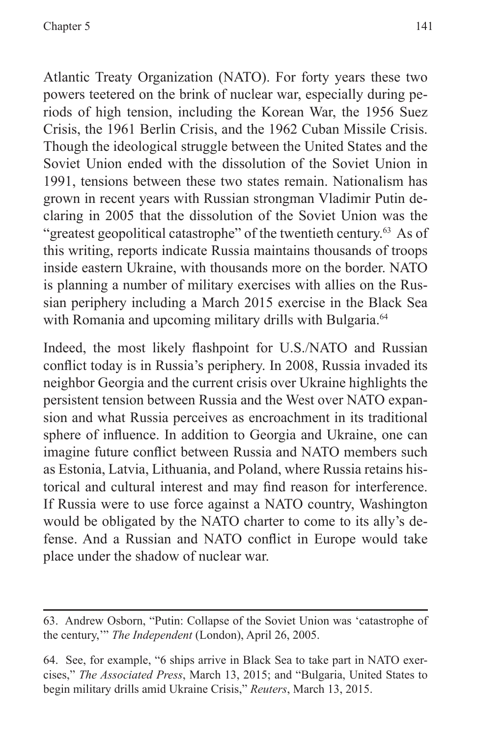Atlantic Treaty Organization (NATO). For forty years these two powers teetered on the brink of nuclear war, especially during periods of high tension, including the Korean War, the 1956 Suez Crisis, the 1961 Berlin Crisis, and the 1962 Cuban Missile Crisis. Though the ideological struggle between the United States and the Soviet Union ended with the dissolution of the Soviet Union in 1991, tensions between these two states remain. Nationalism has grown in recent years with Russian strongman Vladimir Putin declaring in 2005 that the dissolution of the Soviet Union was the "greatest geopolitical catastrophe" of the twentieth century.<sup>63</sup> As of this writing, reports indicate Russia maintains thousands of troops inside eastern Ukraine, with thousands more on the border. NATO is planning a number of military exercises with allies on the Russian periphery including a March 2015 exercise in the Black Sea with Romania and upcoming military drills with Bulgaria.<sup>64</sup>

Indeed, the most likely flashpoint for U.S./NATO and Russian conflict today is in Russia's periphery. In 2008, Russia invaded its neighbor Georgia and the current crisis over Ukraine highlights the persistent tension between Russia and the West over NATO expansion and what Russia perceives as encroachment in its traditional sphere of influence. In addition to Georgia and Ukraine, one can imagine future conflict between Russia and NATO members such as Estonia, Latvia, Lithuania, and Poland, where Russia retains historical and cultural interest and may find reason for interference. If Russia were to use force against a NATO country, Washington would be obligated by the NATO charter to come to its ally's defense. And a Russian and NATO conflict in Europe would take place under the shadow of nuclear war.

<sup>63.</sup> Andrew Osborn, "Putin: Collapse of the Soviet Union was 'catastrophe of the century,'" *The Independent* (London), April 26, 2005.

<sup>64.</sup> See, for example, "6 ships arrive in Black Sea to take part in NATO exercises," *The Associated Press*, March 13, 2015; and "Bulgaria, United States to begin military drills amid Ukraine Crisis," *Reuters*, March 13, 2015.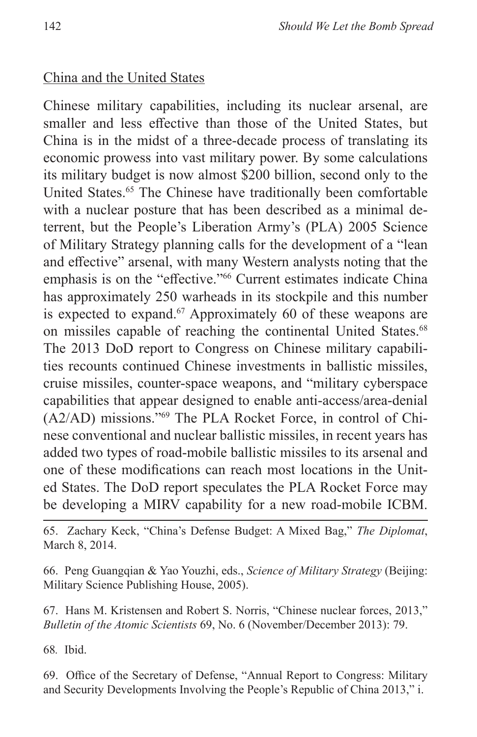#### China and the United States

Chinese military capabilities, including its nuclear arsenal, are smaller and less effective than those of the United States, but China is in the midst of a three-decade process of translating its economic prowess into vast military power. By some calculations its military budget is now almost \$200 billion, second only to the United States.<sup>65</sup> The Chinese have traditionally been comfortable with a nuclear posture that has been described as a minimal deterrent, but the People's Liberation Army's (PLA) 2005 Science of Military Strategy planning calls for the development of a "lean and effective" arsenal, with many Western analysts noting that the emphasis is on the "effective."66 Current estimates indicate China has approximately 250 warheads in its stockpile and this number is expected to expand.<sup>67</sup> Approximately 60 of these weapons are on missiles capable of reaching the continental United States.<sup>68</sup> The 2013 DoD report to Congress on Chinese military capabilities recounts continued Chinese investments in ballistic missiles, cruise missiles, counter-space weapons, and "military cyberspace capabilities that appear designed to enable anti-access/area-denial (A2/AD) missions."69 The PLA Rocket Force, in control of Chinese conventional and nuclear ballistic missiles, in recent years has added two types of road-mobile ballistic missiles to its arsenal and one of these modifications can reach most locations in the United States. The DoD report speculates the PLA Rocket Force may be developing a MIRV capability for a new road-mobile ICBM.

65. Zachary Keck, "China's Defense Budget: A Mixed Bag," *The Diplomat*, March 8, 2014.

66. Peng Guangqian & Yao Youzhi, eds., *Science of Military Strategy* (Beijing: Military Science Publishing House, 2005).

67. Hans M. Kristensen and Robert S. Norris, "Chinese nuclear forces, 2013," *Bulletin of the Atomic Scientists* 69, No. 6 (November/December 2013): 79.

68*.* Ibid.

69. Office of the Secretary of Defense, "Annual Report to Congress: Military and Security Developments Involving the People's Republic of China 2013," i.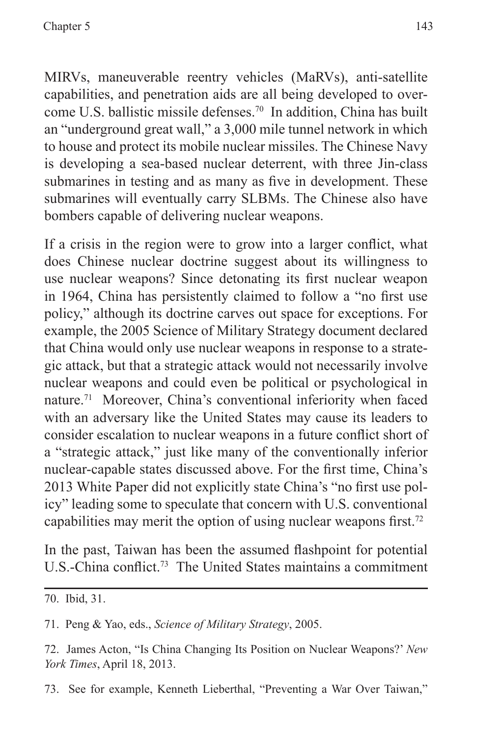MIRVs, maneuverable reentry vehicles (MaRVs), anti-satellite capabilities, and penetration aids are all being developed to overcome U.S. ballistic missile defenses.70 In addition, China has built an "underground great wall," a 3,000 mile tunnel network in which to house and protect its mobile nuclear missiles. The Chinese Navy is developing a sea-based nuclear deterrent, with three Jin-class submarines in testing and as many as five in development. These submarines will eventually carry SLBMs. The Chinese also have bombers capable of delivering nuclear weapons.

If a crisis in the region were to grow into a larger conflict, what does Chinese nuclear doctrine suggest about its willingness to use nuclear weapons? Since detonating its first nuclear weapon in 1964, China has persistently claimed to follow a "no first use policy," although its doctrine carves out space for exceptions. For example, the 2005 Science of Military Strategy document declared that China would only use nuclear weapons in response to a strategic attack, but that a strategic attack would not necessarily involve nuclear weapons and could even be political or psychological in nature.71 Moreover, China's conventional inferiority when faced with an adversary like the United States may cause its leaders to consider escalation to nuclear weapons in a future conflict short of a "strategic attack," just like many of the conventionally inferior nuclear-capable states discussed above. For the first time, China's 2013 White Paper did not explicitly state China's "no first use policy" leading some to speculate that concern with U.S. conventional capabilities may merit the option of using nuclear weapons first.<sup>72</sup>

In the past, Taiwan has been the assumed flashpoint for potential U.S.-China conflict.<sup>73</sup> The United States maintains a commitment

71. Peng & Yao, eds., *Science of Military Strategy*, 2005.

73. See for example, Kenneth Lieberthal, "Preventing a War Over Taiwan,"

<sup>70.</sup> Ibid, 31.

<sup>72.</sup> James Acton, "Is China Changing Its Position on Nuclear Weapons?' *New York Times*, April 18, 2013.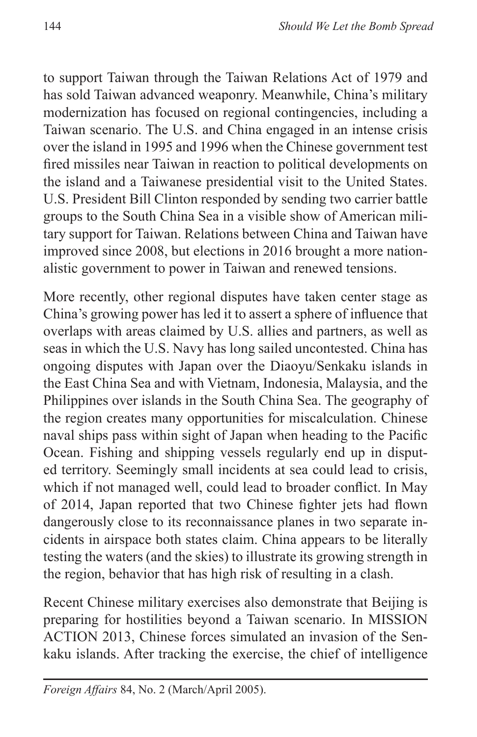to support Taiwan through the Taiwan Relations Act of 1979 and has sold Taiwan advanced weaponry. Meanwhile, China's military modernization has focused on regional contingencies, including a Taiwan scenario. The U.S. and China engaged in an intense crisis over the island in 1995 and 1996 when the Chinese government test fired missiles near Taiwan in reaction to political developments on the island and a Taiwanese presidential visit to the United States. U.S. President Bill Clinton responded by sending two carrier battle groups to the South China Sea in a visible show of American military support for Taiwan. Relations between China and Taiwan have improved since 2008, but elections in 2016 brought a more nationalistic government to power in Taiwan and renewed tensions.

More recently, other regional disputes have taken center stage as China's growing power has led it to assert a sphere of influence that overlaps with areas claimed by U.S. allies and partners, as well as seas in which the U.S. Navy has long sailed uncontested. China has ongoing disputes with Japan over the Diaoyu/Senkaku islands in the East China Sea and with Vietnam, Indonesia, Malaysia, and the Philippines over islands in the South China Sea. The geography of the region creates many opportunities for miscalculation. Chinese naval ships pass within sight of Japan when heading to the Pacific Ocean. Fishing and shipping vessels regularly end up in disputed territory. Seemingly small incidents at sea could lead to crisis, which if not managed well, could lead to broader conflict. In May of 2014, Japan reported that two Chinese fighter jets had flown dangerously close to its reconnaissance planes in two separate incidents in airspace both states claim. China appears to be literally testing the waters (and the skies) to illustrate its growing strength in the region, behavior that has high risk of resulting in a clash.

Recent Chinese military exercises also demonstrate that Beijing is preparing for hostilities beyond a Taiwan scenario. In MISSION ACTION 2013, Chinese forces simulated an invasion of the Senkaku islands. After tracking the exercise, the chief of intelligence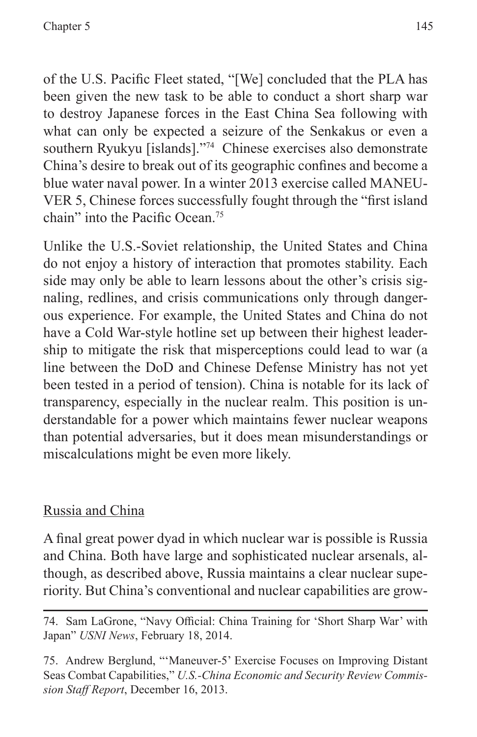of the U.S. Pacific Fleet stated, "[We] concluded that the PLA has been given the new task to be able to conduct a short sharp war to destroy Japanese forces in the East China Sea following with what can only be expected a seizure of the Senkakus or even a southern Ryukyu [islands]."74 Chinese exercises also demonstrate China's desire to break out of its geographic confines and become a blue water naval power. In a winter 2013 exercise called MANEU-VER 5, Chinese forces successfully fought through the "first island chain" into the Pacific Ocean<sup>75</sup>

Unlike the U.S.-Soviet relationship, the United States and China do not enjoy a history of interaction that promotes stability. Each side may only be able to learn lessons about the other's crisis signaling, redlines, and crisis communications only through dangerous experience. For example, the United States and China do not have a Cold War-style hotline set up between their highest leadership to mitigate the risk that misperceptions could lead to war (a line between the DoD and Chinese Defense Ministry has not yet been tested in a period of tension). China is notable for its lack of transparency, especially in the nuclear realm. This position is understandable for a power which maintains fewer nuclear weapons than potential adversaries, but it does mean misunderstandings or miscalculations might be even more likely.

## Russia and China

A final great power dyad in which nuclear war is possible is Russia and China. Both have large and sophisticated nuclear arsenals, although, as described above, Russia maintains a clear nuclear superiority. But China's conventional and nuclear capabilities are grow-

<sup>74.</sup> Sam LaGrone, "Navy Official: China Training for 'Short Sharp War' with Japan" *USNI News*, February 18, 2014.

<sup>75.</sup> Andrew Berglund, "'Maneuver-5' Exercise Focuses on Improving Distant Seas Combat Capabilities," *U.S.-China Economic and Security Review Commission Staff Report*, December 16, 2013.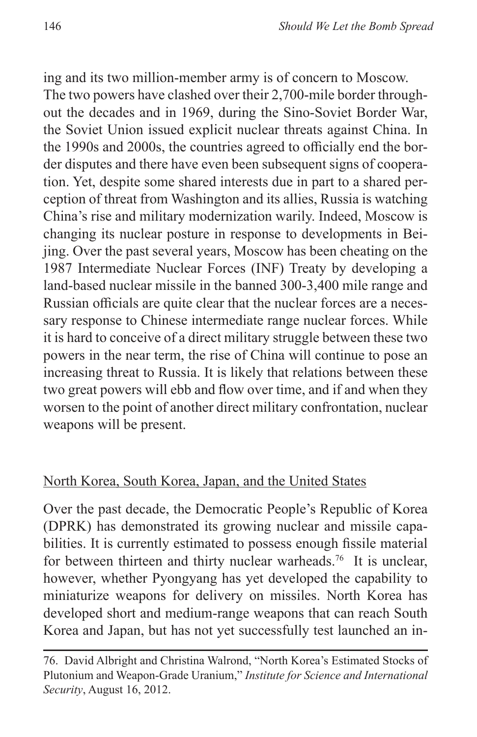ing and its two million-member army is of concern to Moscow.

The two powers have clashed over their 2,700-mile border throughout the decades and in 1969, during the Sino-Soviet Border War, the Soviet Union issued explicit nuclear threats against China. In the 1990s and 2000s, the countries agreed to officially end the border disputes and there have even been subsequent signs of cooperation. Yet, despite some shared interests due in part to a shared perception of threat from Washington and its allies, Russia is watching China's rise and military modernization warily. Indeed, Moscow is changing its nuclear posture in response to developments in Beijing. Over the past several years, Moscow has been cheating on the 1987 Intermediate Nuclear Forces (INF) Treaty by developing a land-based nuclear missile in the banned 300-3,400 mile range and Russian officials are quite clear that the nuclear forces are a necessary response to Chinese intermediate range nuclear forces. While it is hard to conceive of a direct military struggle between these two powers in the near term, the rise of China will continue to pose an increasing threat to Russia. It is likely that relations between these two great powers will ebb and flow over time, and if and when they worsen to the point of another direct military confrontation, nuclear weapons will be present.

### North Korea, South Korea, Japan, and the United States

Over the past decade, the Democratic People's Republic of Korea (DPRK) has demonstrated its growing nuclear and missile capabilities. It is currently estimated to possess enough fissile material for between thirteen and thirty nuclear warheads.<sup>76</sup> It is unclear, however, whether Pyongyang has yet developed the capability to miniaturize weapons for delivery on missiles. North Korea has developed short and medium-range weapons that can reach South Korea and Japan, but has not yet successfully test launched an in-

<sup>76.</sup> David Albright and Christina Walrond, "North Korea's Estimated Stocks of Plutonium and Weapon-Grade Uranium," *Institute for Science and International Security*, August 16, 2012.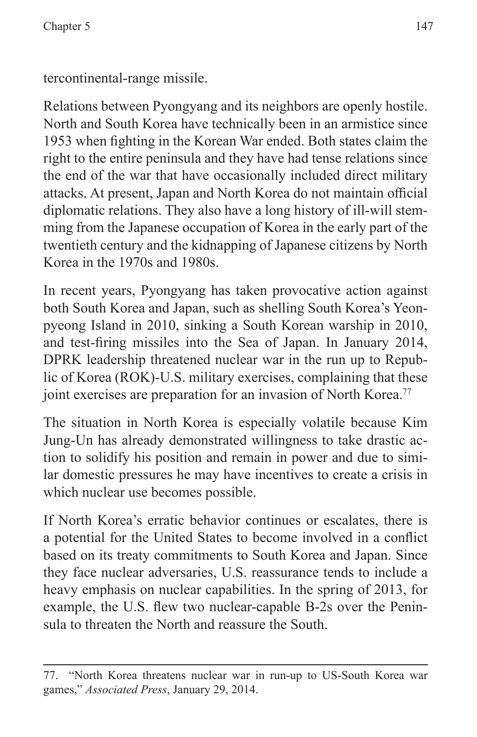tercontinental-range missile.

Relations between Pyongyang and its neighbors are openly hostile. North and South Korea have technically been in an armistice since 1953 when fighting in the Korean War ended. Both states claim the right to the entire peninsula and they have had tense relations since the end of the war that have occasionally included direct military attacks. At present, Japan and North Korea do not maintain official diplomatic relations. They also have a long history of ill-will stemming from the Japanese occupation of Korea in the early part of the twentieth century and the kidnapping of Japanese citizens by North Korea in the 1970s and 1980s.

In recent years, Pyongyang has taken provocative action against both South Korea and Japan, such as shelling South Korea's Yeonpyeong Island in 2010, sinking a South Korean warship in 2010, and test-firing missiles into the Sea of Japan. In January 2014, DPRK leadership threatened nuclear war in the run up to Republic of Korea (ROK)-U.S. military exercises, complaining that these joint exercises are preparation for an invasion of North Korea.<sup>77</sup>

The situation in North Korea is especially volatile because Kim Jung-Un has already demonstrated willingness to take drastic action to solidify his position and remain in power and due to similar domestic pressures he may have incentives to create a crisis in which nuclear use becomes possible.

If North Korea's erratic behavior continues or escalates, there is a potential for the United States to become involved in a conflict based on its treaty commitments to South Korea and Japan. Since they face nuclear adversaries, U.S. reassurance tends to include a heavy emphasis on nuclear capabilities. In the spring of 2013, for example, the U.S. flew two nuclear-capable B-2s over the Peninsula to threaten the North and reassure the South.

<sup>77. &</sup>quot;North Korea threatens nuclear war in run-up to US-South Korea war games," *Associated Press*, January 29, 2014.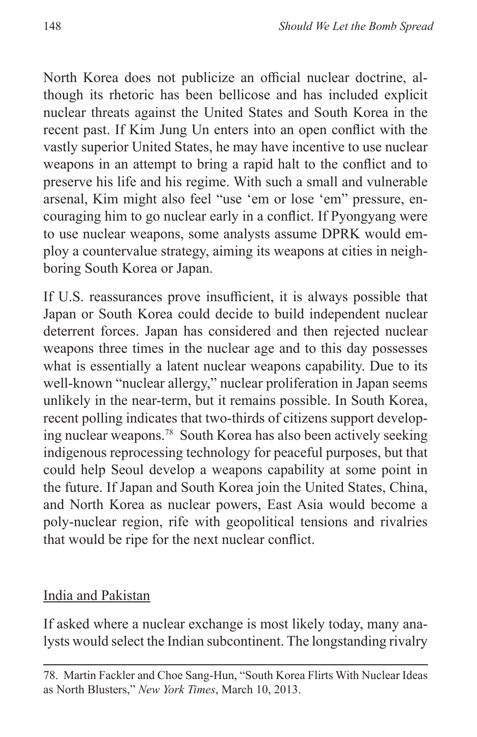North Korea does not publicize an official nuclear doctrine, although its rhetoric has been bellicose and has included explicit nuclear threats against the United States and South Korea in the recent past. If Kim Jung Un enters into an open conflict with the vastly superior United States, he may have incentive to use nuclear weapons in an attempt to bring a rapid halt to the conflict and to preserve his life and his regime. With such a small and vulnerable arsenal, Kim might also feel "use 'em or lose 'em" pressure, encouraging him to go nuclear early in a conflict. If Pyongyang were to use nuclear weapons, some analysts assume DPRK would employ a countervalue strategy, aiming its weapons at cities in neighboring South Korea or Japan.

If U.S. reassurances prove insufficient, it is always possible that Japan or South Korea could decide to build independent nuclear deterrent forces. Japan has considered and then rejected nuclear weapons three times in the nuclear age and to this day possesses what is essentially a latent nuclear weapons capability. Due to its well-known "nuclear allergy," nuclear proliferation in Japan seems unlikely in the near-term, but it remains possible. In South Korea, recent polling indicates that two-thirds of citizens support developing nuclear weapons.78 South Korea has also been actively seeking indigenous reprocessing technology for peaceful purposes, but that could help Seoul develop a weapons capability at some point in the future. If Japan and South Korea join the United States, China, and North Korea as nuclear powers, East Asia would become a poly-nuclear region, rife with geopolitical tensions and rivalries that would be ripe for the next nuclear conflict.

## India and Pakistan

If asked where a nuclear exchange is most likely today, many analysts would select the Indian subcontinent. The longstanding rivalry

<sup>78.</sup> Martin Fackler and Choe Sang-Hun, "South Korea Flirts With Nuclear Ideas as North Blusters," *New York Times*, March 10, 2013.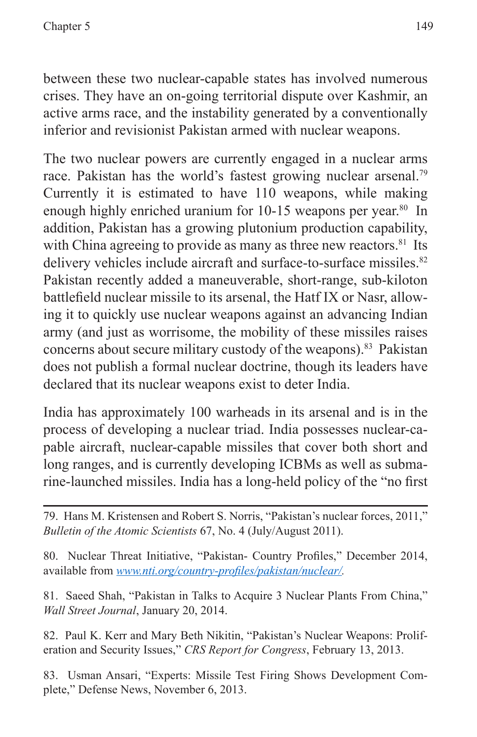between these two nuclear-capable states has involved numerous crises. They have an on-going territorial dispute over Kashmir, an active arms race, and the instability generated by a conventionally inferior and revisionist Pakistan armed with nuclear weapons.

The two nuclear powers are currently engaged in a nuclear arms race. Pakistan has the world's fastest growing nuclear arsenal.<sup>79</sup> Currently it is estimated to have 110 weapons, while making enough highly enriched uranium for 10-15 weapons per year.<sup>80</sup> In addition, Pakistan has a growing plutonium production capability, with China agreeing to provide as many as three new reactors.<sup>81</sup> Its delivery vehicles include aircraft and surface-to-surface missiles.<sup>82</sup> Pakistan recently added a maneuverable, short-range, sub-kiloton battlefield nuclear missile to its arsenal, the Hatf IX or Nasr, allowing it to quickly use nuclear weapons against an advancing Indian army (and just as worrisome, the mobility of these missiles raises concerns about secure military custody of the weapons).83 Pakistan does not publish a formal nuclear doctrine, though its leaders have declared that its nuclear weapons exist to deter India.

India has approximately 100 warheads in its arsenal and is in the process of developing a nuclear triad. India possesses nuclear-capable aircraft, nuclear-capable missiles that cover both short and long ranges, and is currently developing ICBMs as well as submarine-launched missiles. India has a long-held policy of the "no first

80. Nuclear Threat Initiative, "Pakistan- Country Profiles," December 2014, available from *<www.nti.org/country-profiles/pakistan/nuclear/>.*

81. Saeed Shah, "Pakistan in Talks to Acquire 3 Nuclear Plants From China," *Wall Street Journal*, January 20, 2014.

82. Paul K. Kerr and Mary Beth Nikitin, "Pakistan's Nuclear Weapons: Proliferation and Security Issues," *CRS Report for Congress*, February 13, 2013.

83. Usman Ansari, "Experts: Missile Test Firing Shows Development Complete," Defense News, November 6, 2013.

<sup>79.</sup> Hans M. Kristensen and Robert S. Norris, "Pakistan's nuclear forces, 2011," *Bulletin of the Atomic Scientists* 67, No. 4 (July/August 2011).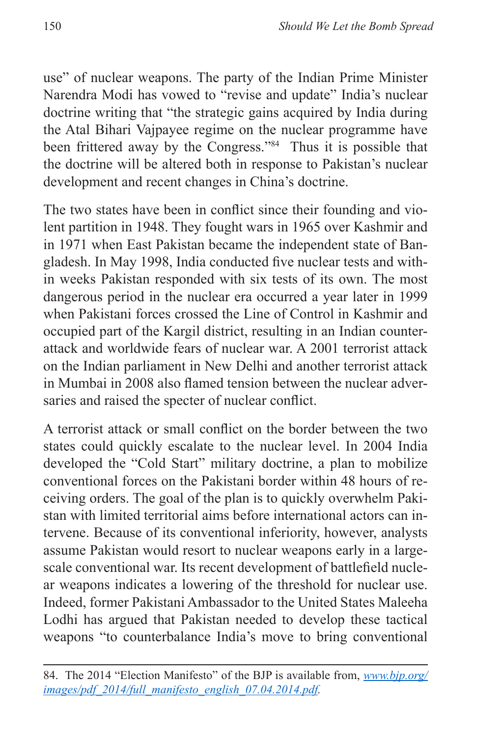use" of nuclear weapons. The party of the Indian Prime Minister Narendra Modi has vowed to "revise and update" India's nuclear doctrine writing that "the strategic gains acquired by India during the Atal Bihari Vajpayee regime on the nuclear programme have been frittered away by the Congress."<sup>84</sup> Thus it is possible that the doctrine will be altered both in response to Pakistan's nuclear development and recent changes in China's doctrine.

The two states have been in conflict since their founding and violent partition in 1948. They fought wars in 1965 over Kashmir and in 1971 when East Pakistan became the independent state of Bangladesh. In May 1998, India conducted five nuclear tests and within weeks Pakistan responded with six tests of its own. The most dangerous period in the nuclear era occurred a year later in 1999 when Pakistani forces crossed the Line of Control in Kashmir and occupied part of the Kargil district, resulting in an Indian counterattack and worldwide fears of nuclear war. A 2001 terrorist attack on the Indian parliament in New Delhi and another terrorist attack in Mumbai in 2008 also flamed tension between the nuclear adversaries and raised the specter of nuclear conflict.

A terrorist attack or small conflict on the border between the two states could quickly escalate to the nuclear level. In 2004 India developed the "Cold Start" military doctrine, a plan to mobilize conventional forces on the Pakistani border within 48 hours of receiving orders. The goal of the plan is to quickly overwhelm Pakistan with limited territorial aims before international actors can intervene. Because of its conventional inferiority, however, analysts assume Pakistan would resort to nuclear weapons early in a largescale conventional war. Its recent development of battlefield nuclear weapons indicates a lowering of the threshold for nuclear use. Indeed, former Pakistani Ambassador to the United States Maleeha Lodhi has argued that Pakistan needed to develop these tactical weapons "to counterbalance India's move to bring conventional

<sup>84.</sup> The 2014 "Election Manifesto" of the BJP is available from, *[www.bjp.org/](www.bjp.org/images/pdf_2014/full_manifesto_english_07.04.2014.pdf) [images/pdf\\_2014/full\\_manifesto\\_english\\_07.04.2014.pdf](www.bjp.org/images/pdf_2014/full_manifesto_english_07.04.2014.pdf).*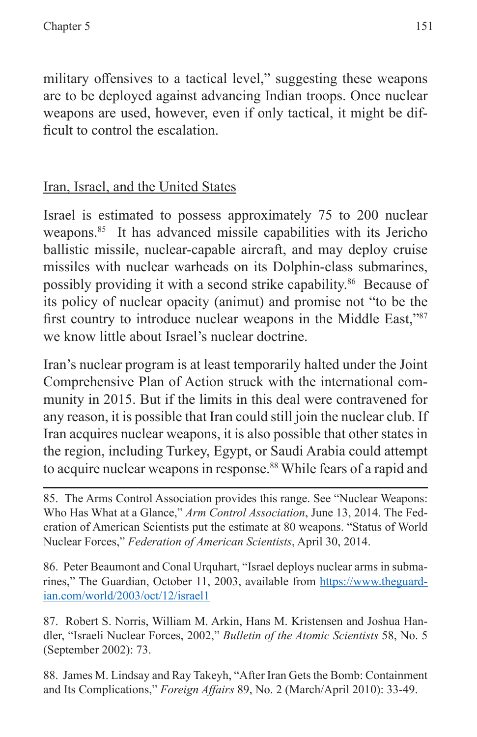military offensives to a tactical level," suggesting these weapons are to be deployed against advancing Indian troops. Once nuclear weapons are used, however, even if only tactical, it might be difficult to control the escalation.

# Iran, Israel, and the United States

Israel is estimated to possess approximately 75 to 200 nuclear weapons.<sup>85</sup> It has advanced missile capabilities with its Jericho ballistic missile, nuclear-capable aircraft, and may deploy cruise missiles with nuclear warheads on its Dolphin-class submarines, possibly providing it with a second strike capability.86 Because of its policy of nuclear opacity (animut) and promise not "to be the first country to introduce nuclear weapons in the Middle East,"87 we know little about Israel's nuclear doctrine.

Iran's nuclear program is at least temporarily halted under the Joint Comprehensive Plan of Action struck with the international community in 2015. But if the limits in this deal were contravened for any reason, it is possible that Iran could still join the nuclear club. If Iran acquires nuclear weapons, it is also possible that other states in the region, including Turkey, Egypt, or Saudi Arabia could attempt to acquire nuclear weapons in response.<sup>88</sup> While fears of a rapid and

85. The Arms Control Association provides this range. See "Nuclear Weapons: Who Has What at a Glance," *Arm Control Association*, June 13, 2014. The Federation of American Scientists put the estimate at 80 weapons. "Status of World Nuclear Forces," *Federation of American Scientists*, April 30, 2014.

86. Peter Beaumont and Conal Urquhart, "Israel deploys nuclear arms in submarines," The Guardian, October 11, 2003, available from [https://www.theguard](https://www.theguardian.com/world/2003/oct/12/israel1)[ian.com/world/2003/oct/12/israel1](https://www.theguardian.com/world/2003/oct/12/israel1)

87. Robert S. Norris, William M. Arkin, Hans M. Kristensen and Joshua Handler, "Israeli Nuclear Forces, 2002," *Bulletin of the Atomic Scientists* 58, No. 5 (September 2002): 73.

88. James M. Lindsay and Ray Takeyh, "After Iran Gets the Bomb: Containment and Its Complications," *Foreign Affairs* 89, No. 2 (March/April 2010): 33-49.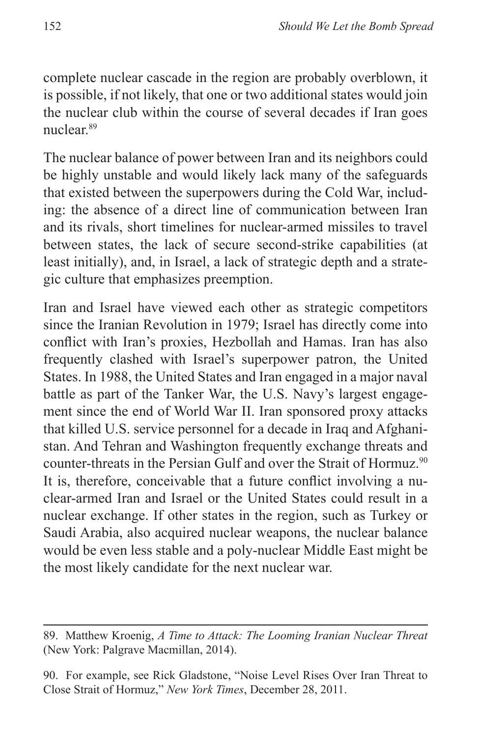complete nuclear cascade in the region are probably overblown, it is possible, if not likely, that one or two additional states would join the nuclear club within the course of several decades if Iran goes nuclear.89

The nuclear balance of power between Iran and its neighbors could be highly unstable and would likely lack many of the safeguards that existed between the superpowers during the Cold War, including: the absence of a direct line of communication between Iran and its rivals, short timelines for nuclear-armed missiles to travel between states, the lack of secure second-strike capabilities (at least initially), and, in Israel, a lack of strategic depth and a strategic culture that emphasizes preemption.

Iran and Israel have viewed each other as strategic competitors since the Iranian Revolution in 1979; Israel has directly come into conflict with Iran's proxies, Hezbollah and Hamas. Iran has also frequently clashed with Israel's superpower patron, the United States. In 1988, the United States and Iran engaged in a major naval battle as part of the Tanker War, the U.S. Navy's largest engagement since the end of World War II. Iran sponsored proxy attacks that killed U.S. service personnel for a decade in Iraq and Afghanistan. And Tehran and Washington frequently exchange threats and counter-threats in the Persian Gulf and over the Strait of Hormuz.<sup>90</sup> It is, therefore, conceivable that a future conflict involving a nuclear-armed Iran and Israel or the United States could result in a nuclear exchange. If other states in the region, such as Turkey or Saudi Arabia, also acquired nuclear weapons, the nuclear balance would be even less stable and a poly-nuclear Middle East might be the most likely candidate for the next nuclear war.

<sup>89.</sup> Matthew Kroenig, *A Time to Attack: The Looming Iranian Nuclear Threat* (New York: Palgrave Macmillan, 2014).

<sup>90.</sup> For example, see Rick Gladstone, "Noise Level Rises Over Iran Threat to Close Strait of Hormuz," *New York Times*, December 28, 2011.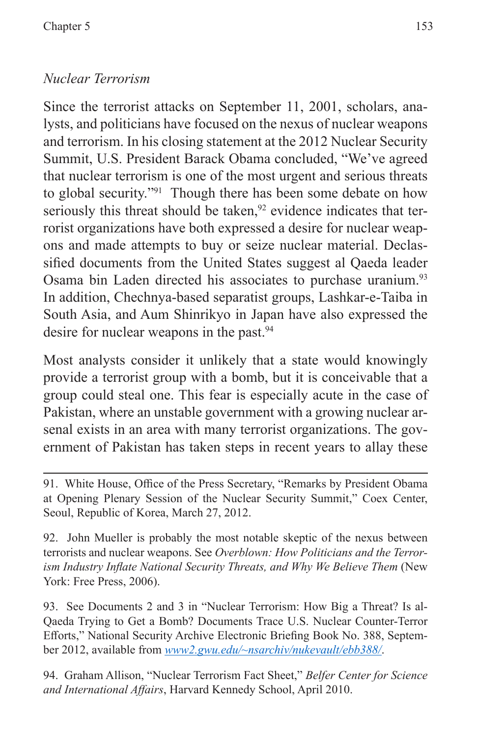# *Nuclear Terrorism*

Since the terrorist attacks on September 11, 2001, scholars, analysts, and politicians have focused on the nexus of nuclear weapons and terrorism. In his closing statement at the 2012 Nuclear Security Summit, U.S. President Barack Obama concluded, "We've agreed that nuclear terrorism is one of the most urgent and serious threats to global security."91 Though there has been some debate on how seriously this threat should be taken, $92$  evidence indicates that terrorist organizations have both expressed a desire for nuclear weapons and made attempts to buy or seize nuclear material. Declassified documents from the United States suggest al Qaeda leader Osama bin Laden directed his associates to purchase uranium.<sup>93</sup> In addition, Chechnya-based separatist groups, Lashkar-e-Taiba in South Asia, and Aum Shinrikyo in Japan have also expressed the desire for nuclear weapons in the past.<sup>94</sup>

Most analysts consider it unlikely that a state would knowingly provide a terrorist group with a bomb, but it is conceivable that a group could steal one. This fear is especially acute in the case of Pakistan, where an unstable government with a growing nuclear arsenal exists in an area with many terrorist organizations. The government of Pakistan has taken steps in recent years to allay these

93. See Documents 2 and 3 in "Nuclear Terrorism: How Big a Threat? Is al-Qaeda Trying to Get a Bomb? Documents Trace U.S. Nuclear Counter-Terror Efforts," National Security Archive Electronic Briefing Book No. 388, September 2012, available from *<www2.gwu.edu/~nsarchiv/nukevault/ebb388/>*.

94. Graham Allison, "Nuclear Terrorism Fact Sheet," *Belfer Center for Science and International Affairs*, Harvard Kennedy School, April 2010.

<sup>91.</sup> White House, Office of the Press Secretary, "Remarks by President Obama at Opening Plenary Session of the Nuclear Security Summit," Coex Center, Seoul, Republic of Korea, March 27, 2012.

<sup>92.</sup> John Mueller is probably the most notable skeptic of the nexus between terrorists and nuclear weapons. See *Overblown: How Politicians and the Terrorism Industry Inflate National Security Threats, and Why We Believe Them* (New York: Free Press, 2006).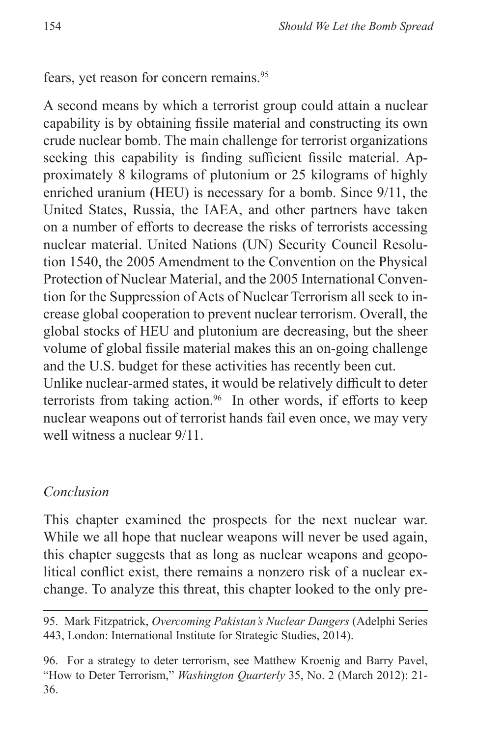## fears, yet reason for concern remains.<sup>95</sup>

A second means by which a terrorist group could attain a nuclear capability is by obtaining fissile material and constructing its own crude nuclear bomb. The main challenge for terrorist organizations seeking this capability is finding sufficient fissile material. Approximately 8 kilograms of plutonium or 25 kilograms of highly enriched uranium (HEU) is necessary for a bomb. Since 9/11, the United States, Russia, the IAEA, and other partners have taken on a number of efforts to decrease the risks of terrorists accessing nuclear material. United Nations (UN) Security Council Resolution 1540, the 2005 Amendment to the Convention on the Physical Protection of Nuclear Material, and the 2005 International Convention for the Suppression of Acts of Nuclear Terrorism all seek to increase global cooperation to prevent nuclear terrorism. Overall, the global stocks of HEU and plutonium are decreasing, but the sheer volume of global fissile material makes this an on-going challenge and the U.S. budget for these activities has recently been cut. Unlike nuclear-armed states, it would be relatively difficult to deter terrorists from taking action.<sup>96</sup> In other words, if efforts to keep nuclear weapons out of terrorist hands fail even once, we may very

well witness a nuclear 9/11.

#### *Conclusion*

This chapter examined the prospects for the next nuclear war. While we all hope that nuclear weapons will never be used again, this chapter suggests that as long as nuclear weapons and geopolitical conflict exist, there remains a nonzero risk of a nuclear exchange. To analyze this threat, this chapter looked to the only pre-

<sup>95.</sup> Mark Fitzpatrick, *Overcoming Pakistan's Nuclear Dangers* (Adelphi Series 443, London: International Institute for Strategic Studies, 2014).

<sup>96.</sup> For a strategy to deter terrorism, see Matthew Kroenig and Barry Pavel, "How to Deter Terrorism," *Washington Quarterly* 35, No. 2 (March 2012): 21- 36.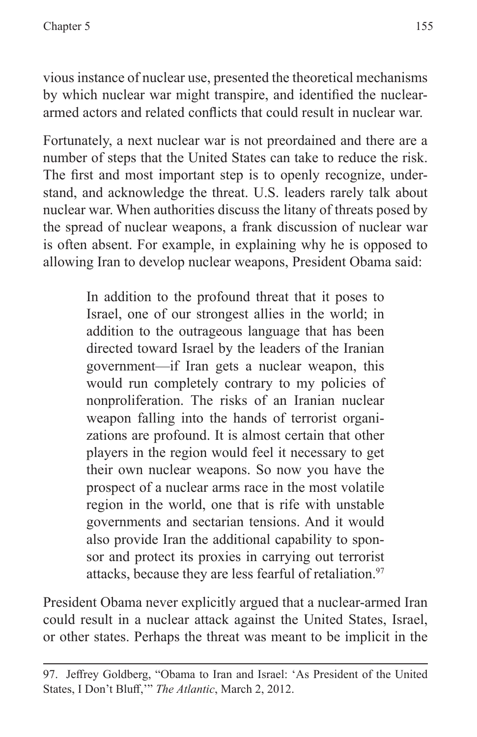vious instance of nuclear use, presented the theoretical mechanisms by which nuclear war might transpire, and identified the nucleararmed actors and related conflicts that could result in nuclear war.

Fortunately, a next nuclear war is not preordained and there are a number of steps that the United States can take to reduce the risk. The first and most important step is to openly recognize, understand, and acknowledge the threat. U.S. leaders rarely talk about nuclear war. When authorities discuss the litany of threats posed by the spread of nuclear weapons, a frank discussion of nuclear war is often absent. For example, in explaining why he is opposed to allowing Iran to develop nuclear weapons, President Obama said:

> In addition to the profound threat that it poses to Israel, one of our strongest allies in the world; in addition to the outrageous language that has been directed toward Israel by the leaders of the Iranian government—if Iran gets a nuclear weapon, this would run completely contrary to my policies of nonproliferation. The risks of an Iranian nuclear weapon falling into the hands of terrorist organizations are profound. It is almost certain that other players in the region would feel it necessary to get their own nuclear weapons. So now you have the prospect of a nuclear arms race in the most volatile region in the world, one that is rife with unstable governments and sectarian tensions. And it would also provide Iran the additional capability to sponsor and protect its proxies in carrying out terrorist attacks, because they are less fearful of retaliation.<sup>97</sup>

President Obama never explicitly argued that a nuclear-armed Iran could result in a nuclear attack against the United States, Israel, or other states. Perhaps the threat was meant to be implicit in the

<sup>97.</sup> Jeffrey Goldberg, "Obama to Iran and Israel: 'As President of the United States, I Don't Bluff,'" *The Atlantic*, March 2, 2012.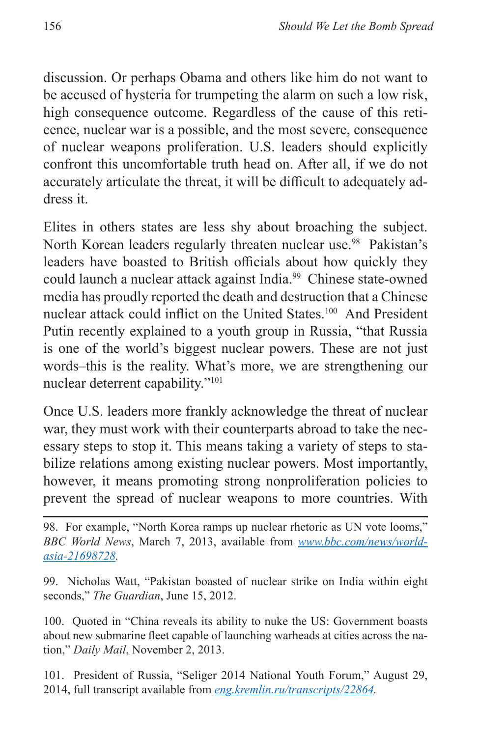discussion. Or perhaps Obama and others like him do not want to be accused of hysteria for trumpeting the alarm on such a low risk, high consequence outcome. Regardless of the cause of this reticence, nuclear war is a possible, and the most severe, consequence of nuclear weapons proliferation. U.S. leaders should explicitly confront this uncomfortable truth head on. After all, if we do not accurately articulate the threat, it will be difficult to adequately address it.

Elites in others states are less shy about broaching the subject. North Korean leaders regularly threaten nuclear use.<sup>98</sup> Pakistan's leaders have boasted to British officials about how quickly they could launch a nuclear attack against India.<sup>99</sup> Chinese state-owned media has proudly reported the death and destruction that a Chinese nuclear attack could inflict on the United States.100 And President Putin recently explained to a youth group in Russia, "that Russia is one of the world's biggest nuclear powers. These are not just words–this is the reality. What's more, we are strengthening our nuclear deterrent capability."101

Once U.S. leaders more frankly acknowledge the threat of nuclear war, they must work with their counterparts abroad to take the necessary steps to stop it. This means taking a variety of steps to stabilize relations among existing nuclear powers. Most importantly, however, it means promoting strong nonproliferation policies to prevent the spread of nuclear weapons to more countries. With

98. For example, "North Korea ramps up nuclear rhetoric as UN vote looms," *BBC World News*, March 7, 2013, available from *[www.bbc.com/news/world](www.bbc.com/news/world-asia-21698728)[asia-21698728](www.bbc.com/news/world-asia-21698728).*

99. Nicholas Watt, "Pakistan boasted of nuclear strike on India within eight seconds," *The Guardian*, June 15, 2012.

100. Quoted in "China reveals its ability to nuke the US: Government boasts about new submarine fleet capable of launching warheads at cities across the nation," *Daily Mail*, November 2, 2013.

101. President of Russia, "Seliger 2014 National Youth Forum," August 29, 2014, full transcript available from *[eng.kremlin.ru/transcripts/22864.](eng.kremlin.ru/transcripts/22864)*